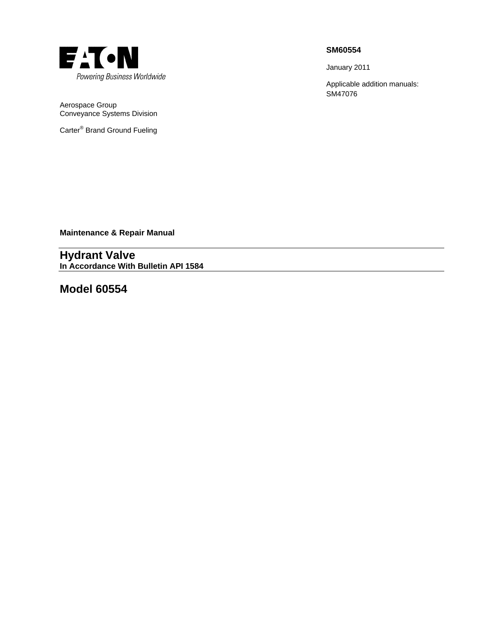

Aerospace Group Conveyance Systems Division

Carter<sup>®</sup> Brand Ground Fueling

## **SM60554**

January 2011

Applicable addition manuals: SM47076

**Maintenance & Repair Manual** 

**Hydrant Valve In Accordance With Bulletin API 1584** 

**Model 60554**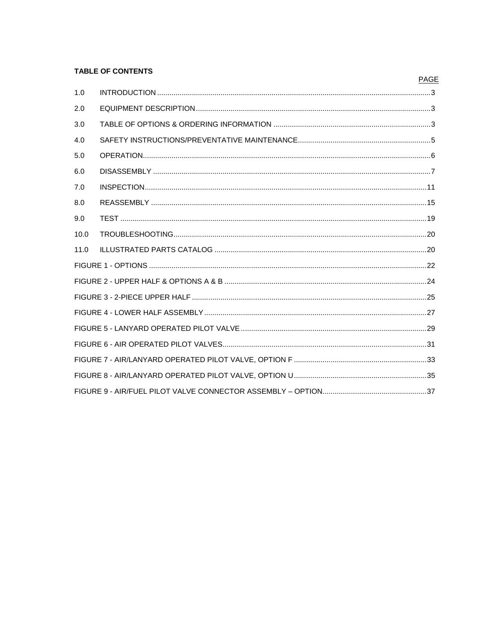## **TABLE OF CONTENTS**

## **PAGE**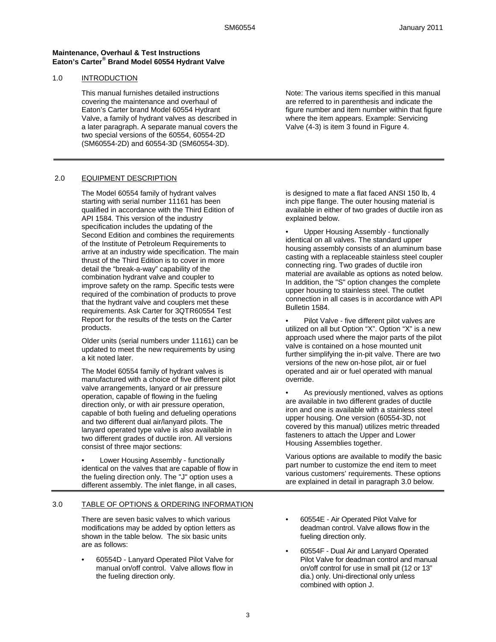#### **Maintenance, Overhaul & Test Instructions Eaton's Carter® Brand Model 60554 Hydrant Valve**

### 1.0 INTRODUCTION

This manual furnishes detailed instructions covering the maintenance and overhaul of Eaton's Carter brand Model 60554 Hydrant Valve, a family of hydrant valves as described in a later paragraph. A separate manual covers the two special versions of the 60554, 60554-2D (SM60554-2D) and 60554-3D (SM60554-3D).

## 2.0 EQUIPMENT DESCRIPTION

The Model 60554 family of hydrant valves starting with serial number 11161 has been qualified in accordance with the Third Edition of API 1584. This version of the industry specification includes the updating of the Second Edition and combines the requirements of the Institute of Petroleum Requirements to arrive at an industry wide specification. The main thrust of the Third Edition is to cover in more detail the "break-a-way" capability of the combination hydrant valve and coupler to improve safety on the ramp. Specific tests were required of the combination of products to prove that the hydrant valve and couplers met these requirements. Ask Carter for 3QTR60554 Test Report for the results of the tests on the Carter products.

Older units (serial numbers under 11161) can be updated to meet the new requirements by using a kit noted later.

The Model 60554 family of hydrant valves is manufactured with a choice of five different pilot valve arrangements, lanyard or air pressure operation, capable of flowing in the fueling direction only, or with air pressure operation, capable of both fueling and defueling operations and two different dual air/lanyard pilots. The lanyard operated type valve is also available in two different grades of ductile iron. All versions consist of three major sections:

• Lower Housing Assembly - functionally identical on the valves that are capable of flow in the fueling direction only. The "J" option uses a different assembly. The inlet flange, in all cases,

### 3.0 TABLE OF OPTIONS & ORDERING INFORMATION

There are seven basic valves to which various modifications may be added by option letters as shown in the table below. The six basic units are as follows:

• 60554D - Lanyard Operated Pilot Valve for manual on/off control. Valve allows flow in the fueling direction only.

Note: The various items specified in this manual are referred to in parenthesis and indicate the figure number and item number within that figure where the item appears. Example: Servicing Valve (4-3) is item 3 found in Figure 4.

is designed to mate a flat faced ANSI 150 lb, 4 inch pipe flange. The outer housing material is available in either of two grades of ductile iron as explained below.

• Upper Housing Assembly - functionally identical on all valves. The standard upper housing assembly consists of an aluminum base casting with a replaceable stainless steel coupler connecting ring. Two grades of ductile iron material are available as options as noted below. In addition, the "S" option changes the complete upper housing to stainless steel. The outlet connection in all cases is in accordance with API Bulletin 1584.

Pilot Valve - five different pilot valves are utilized on all but Option "X". Option "X" is a new approach used where the major parts of the pilot valve is contained on a hose mounted unit further simplifying the in-pit valve. There are two versions of the new on-hose pilot, air or fuel operated and air or fuel operated with manual override.

As previously mentioned, valves as options are available in two different grades of ductile iron and one is available with a stainless steel upper housing. One version (60554-3D, not covered by this manual) utilizes metric threaded fasteners to attach the Upper and Lower Housing Assemblies together.

Various options are available to modify the basic part number to customize the end item to meet various customers' requirements. These options are explained in detail in paragraph 3.0 below.

- 60554E Air Operated Pilot Valve for deadman control. Valve allows flow in the fueling direction only.
- 60554F Dual Air and Lanyard Operated Pilot Valve for deadman control and manual on/off control for use in small pit (12 or 13" dia.) only. Uni-directional only unless combined with option J.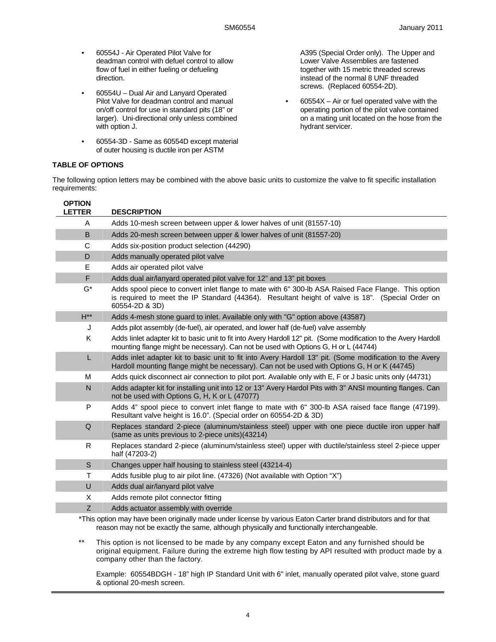- 60554J Air Operated Pilot Valve for deadman control with defuel control to allow flow of fuel in either fueling or defueling direction.
- 60554U Dual Air and Lanyard Operated Pilot Valve for deadman control and manual on/off control for use in standard pits (18" or larger). Uni-directional only unless combined with option J.
- 60554-3D Same as 60554D except material of outer housing is ductile iron per ASTM

A395 (Special Order only). The Upper and Lower Valve Assemblies are fastened together with 15 metric threaded screws instead of the normal 8 UNF threaded screws. (Replaced 60554-2D).

 $60554X - Air$  or fuel operated valve with the operating portion of the pilot valve contained on a mating unit located on the hose from the hydrant servicer.

## **TABLE OF OPTIONS**

The following option letters may be combined with the above basic units to customize the valve to fit specific installation requirements:

| <b>OPTION</b><br><b>LETTER</b> | <b>DESCRIPTION</b>                                                                                                                                                                                                        |
|--------------------------------|---------------------------------------------------------------------------------------------------------------------------------------------------------------------------------------------------------------------------|
| A                              | Adds 10-mesh screen between upper & lower halves of unit (81557-10)                                                                                                                                                       |
| B                              | Adds 20-mesh screen between upper & lower halves of unit (81557-20)                                                                                                                                                       |
| C                              | Adds six-position product selection (44290)                                                                                                                                                                               |
| D                              | Adds manually operated pilot valve                                                                                                                                                                                        |
| E                              | Adds air operated pilot valve                                                                                                                                                                                             |
| F                              | Adds dual air/lanyard operated pilot valve for 12" and 13" pit boxes                                                                                                                                                      |
| G*                             | Adds spool piece to convert inlet flange to mate with 6" 300-lb ASA Raised Face Flange. This option<br>is required to meet the IP Standard (44364). Resultant height of valve is 18". (Special Order on<br>60554-2D & 3D) |
| $H^{**}$                       | Adds 4-mesh stone guard to inlet. Available only with "G" option above (43587)                                                                                                                                            |
| J                              | Adds pilot assembly (de-fuel), air operated, and lower half (de-fuel) valve assembly                                                                                                                                      |
| K                              | Adds linlet adapter kit to basic unit to fit into Avery Hardoll 12" pit. (Some modification to the Avery Hardoll<br>mounting flange might be necessary). Can not be used with Options G, H or L (44744)                   |
| L.                             | Adds inlet adapter kit to basic unit to fit into Avery Hardoll 13" pit. (Some modification to the Avery<br>Hardoll mounting flange might be necessary). Can not be used with Options G, H or K (44745)                    |
| м                              | Adds quick disconnect air connection to pilot port. Available only with E, F or J basic units only (44731)                                                                                                                |
| N                              | Adds adapter kit for installing unit into 12 or 13" Avery Hardol Pits with 3" ANSI mounting flanges. Can<br>not be used with Options G, H, K or L (47077)                                                                 |
| P                              | Adds 4" spool piece to convert inlet flange to mate with 6" 300-lb ASA raised face flange (47199).<br>Resultant valve height is 16.0". (Special order on 60554-2D & 3D)                                                   |
| $\Omega$                       | Replaces standard 2-piece (aluminum/stainless steel) upper with one piece ductile iron upper half<br>(same as units previous to 2-piece units)(43214)                                                                     |
| R.                             | Replaces standard 2-piece (aluminum/stainless steel) upper with ductile/stainless steel 2-piece upper<br>half (47203-2)                                                                                                   |
| S                              | Changes upper half housing to stainless steel (43214-4)                                                                                                                                                                   |
| T.                             | Adds fusible plug to air pilot line. (47326) (Not available with Option "X")                                                                                                                                              |
| U                              | Adds dual air/lanyard pilot valve                                                                                                                                                                                         |
| X                              | Adds remote pilot connector fitting                                                                                                                                                                                       |
| Z                              | Adds actuator assembly with override                                                                                                                                                                                      |
|                                | *This option may have been originally made under license by various Eaton Carter brand distributors and for that<br>reason may not be exactly the same, although physically and functionally interchangeable.             |

\*\* This option is not licensed to be made by any company except Eaton and any furnished should be original equipment. Failure during the extreme high flow testing by API resulted with product made by a company other than the factory.

Example: 60554BDGH - 18" high IP Standard Unit with 6" inlet, manually operated pilot valve, stone guard & optional 20-mesh screen.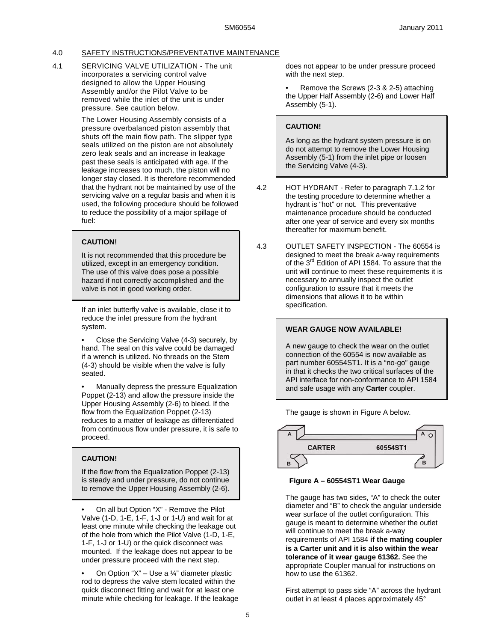## 4.0 SAFETY INSTRUCTIONS/PREVENTATIVE MAINTENANCE

4.1 SERVICING VALVE UTILIZATION - The unit incorporates a servicing control valve designed to allow the Upper Housing Assembly and/or the Pilot Valve to be removed while the inlet of the unit is under pressure. See caution below.

> The Lower Housing Assembly consists of a pressure overbalanced piston assembly that shuts off the main flow path. The slipper type seals utilized on the piston are not absolutely zero leak seals and an increase in leakage past these seals is anticipated with age. If the leakage increases too much, the piston will no longer stay closed. It is therefore recommended that the hydrant not be maintained by use of the servicing valve on a regular basis and when it is used, the following procedure should be followed to reduce the possibility of a major spillage of fuel:

### **CAUTION!**

It is not recommended that this procedure be utilized, except in an emergency condition. The use of this valve does pose a possible hazard if not correctly accomplished and the valve is not in good working order.

If an inlet butterfly valve is available, close it to reduce the inlet pressure from the hydrant system.

• Close the Servicing Valve (4-3) securely, by hand. The seal on this valve could be damaged if a wrench is utilized. No threads on the Stem (4-3) should be visible when the valve is fully seated.

• Manually depress the pressure Equalization Poppet (2-13) and allow the pressure inside the Upper Housing Assembly (2-6) to bleed. If the flow from the Equalization Poppet (2-13) reduces to a matter of leakage as differentiated from continuous flow under pressure, it is safe to proceed.

## **CAUTION!**

If the flow from the Equalization Poppet (2-13) is steady and under pressure, do not continue to remove the Upper Housing Assembly (2-6).

• On all but Option "X" - Remove the Pilot Valve (1-D, 1-E, 1-F, 1-J or 1-U) and wait for at least one minute while checking the leakage out of the hole from which the Pilot Valve (1-D, 1-E, 1-F, 1-J or 1-U) or the quick disconnect was mounted. If the leakage does not appear to be under pressure proceed with the next step.

On Option "X" – Use a  $\frac{1}{4}$ " diameter plastic rod to depress the valve stem located within the quick disconnect fitting and wait for at least one minute while checking for leakage. If the leakage does not appear to be under pressure proceed with the next step.

• Remove the Screws (2-3 & 2-5) attaching the Upper Half Assembly (2-6) and Lower Half Assembly (5-1).

## **CAUTION!**

As long as the hydrant system pressure is on do not attempt to remove the Lower Housing Assembly (5-1) from the inlet pipe or loosen the Servicing Valve (4-3).

- 4.2 HOT HYDRANT Refer to paragraph 7.1.2 for the testing procedure to determine whether a hydrant is "hot" or not. This preventative maintenance procedure should be conducted after one year of service and every six months thereafter for maximum benefit.
- 4.3 OUTLET SAFETY INSPECTION The 60554 is designed to meet the break a-way requirements of the 3<sup>rd</sup> Edition of API 1584. To assure that the unit will continue to meet these requirements it is necessary to annually inspect the outlet configuration to assure that it meets the dimensions that allows it to be within specification.

**WEAR GAUGE NOW AVAILABLE!** 

A new gauge to check the wear on the outlet connection of the 60554 is now available as part number 60554ST1. It is a "no-go" gauge in that it checks the two critical surfaces of the API interface for non-conformance to API 1584 and safe usage with any **Carter** coupler.



## **Figure A – 60554ST1 Wear Gauge**

The gauge has two sides, "A" to check the outer diameter and "B" to check the angular underside wear surface of the outlet configuration. This gauge is meant to determine whether the outlet will continue to meet the break a-way requirements of API 1584 **if the mating coupler is a Carter unit and it is also within the wear tolerance of it wear gauge 61362.** See the appropriate Coupler manual for instructions on how to use the 61362.

First attempt to pass side "A" across the hydrant outlet in at least 4 places approximately 45°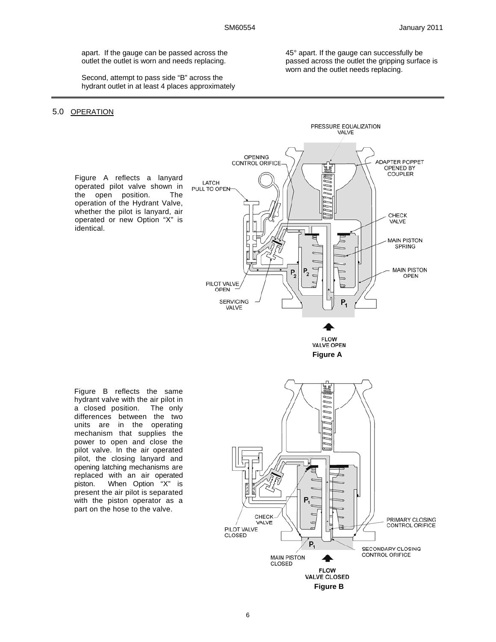apart. If the gauge can be passed across the outlet the outlet is worn and needs replacing.

 Second, attempt to pass side "B" across the hydrant outlet in at least 4 places approximately

5.0 OPERATION

identical.

45° apart. If the gauge can successfully be passed across the outlet the gripping surface is worn and the outlet needs replacing.

> PRESSURE EQUALIZATION VALVE



**FLOW** VALVE OPEN **Figure A** 

Figure B reflects the same hydrant valve with the air pilot in a closed position. The only differences between the two units are in the operating mechanism that supplies the power to open and close the pilot valve. In the air operated pilot, the closing lanyard and opening latching mechanisms are replaced with an air operated<br>piston. When Option "X" is When Option "X" is present the air pilot is separated with the piston operator as a part on the hose to the valve.

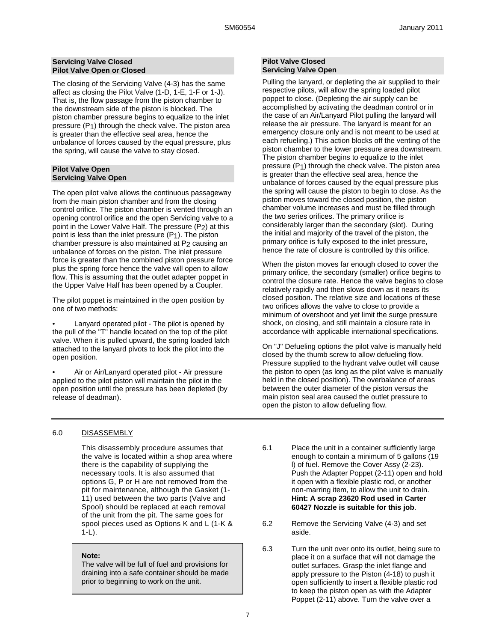### **Servicing Valve Closed Pilot Valve Open or Closed**

The closing of the Servicing Valve (4-3) has the same affect as closing the Pilot Valve (1-D, 1-E, 1-F or 1-J). That is, the flow passage from the piston chamber to the downstream side of the piston is blocked. The piston chamber pressure begins to equalize to the inlet pressure (P1) through the check valve. The piston area is greater than the effective seal area, hence the unbalance of forces caused by the equal pressure, plus the spring, will cause the valve to stay closed.

### **Pilot Valve Open Servicing Valve Open**

The open pilot valve allows the continuous passageway from the main piston chamber and from the closing control orifice. The piston chamber is vented through an opening control orifice and the open Servicing valve to a point in the Lower Valve Half. The pressure (P2) at this point is less than the inlet pressure (P1). The piston chamber pressure is also maintained at P<sub>2</sub> causing an unbalance of forces on the piston. The inlet pressure force is greater than the combined piston pressure force plus the spring force hence the valve will open to allow flow. This is assuming that the outlet adapter poppet in the Upper Valve Half has been opened by a Coupler.

The pilot poppet is maintained in the open position by one of two methods:

• Lanyard operated pilot - The pilot is opened by the pull of the "T" handle located on the top of the pilot valve. When it is pulled upward, the spring loaded latch attached to the lanyard pivots to lock the pilot into the open position.

• Air or Air/Lanyard operated pilot - Air pressure applied to the pilot piston will maintain the pilot in the open position until the pressure has been depleted (by release of deadman).

## **Pilot Valve Closed Servicing Valve Open**

Pulling the lanyard, or depleting the air supplied to their respective pilots, will allow the spring loaded pilot poppet to close. (Depleting the air supply can be accomplished by activating the deadman control or in the case of an Air/Lanyard Pilot pulling the lanyard will release the air pressure. The lanyard is meant for an emergency closure only and is not meant to be used at each refueling.) This action blocks off the venting of the piston chamber to the lower pressure area downstream. The piston chamber begins to equalize to the inlet pressure (P1) through the check valve. The piston area is greater than the effective seal area, hence the unbalance of forces caused by the equal pressure plus the spring will cause the piston to begin to close. As the piston moves toward the closed position, the piston chamber volume increases and must be filled through the two series orifices. The primary orifice is considerably larger than the secondary (slot). During the initial and majority of the travel of the piston, the primary orifice is fully exposed to the inlet pressure, hence the rate of closure is controlled by this orifice.

When the piston moves far enough closed to cover the primary orifice, the secondary (smaller) orifice begins to control the closure rate. Hence the valve begins to close relatively rapidly and then slows down as it nears its closed position. The relative size and locations of these two orifices allows the valve to close to provide a minimum of overshoot and yet limit the surge pressure shock, on closing, and still maintain a closure rate in accordance with applicable international specifications.

On "J" Defueling options the pilot valve is manually held closed by the thumb screw to allow defueling flow. Pressure supplied to the hydrant valve outlet will cause the piston to open (as long as the pilot valve is manually held in the closed position). The overbalance of areas between the outer diameter of the piston versus the main piston seal area caused the outlet pressure to open the piston to allow defueling flow.

## 6.0 DISASSEMBLY

This disassembly procedure assumes that the valve is located within a shop area where there is the capability of supplying the necessary tools. It is also assumed that options G, P or H are not removed from the pit for maintenance, although the Gasket (1- 11) used between the two parts (Valve and Spool) should be replaced at each removal of the unit from the pit. The same goes for spool pieces used as Options K and L (1-K & 1-L).

### **Note:**

The valve will be full of fuel and provisions for draining into a safe container should be made prior to beginning to work on the unit.

- 6.1 Place the unit in a container sufficiently large enough to contain a minimum of 5 gallons (19 l) of fuel. Remove the Cover Assy (2-23). Push the Adapter Poppet (2-11) open and hold it open with a flexible plastic rod, or another non-marring item, to allow the unit to drain. **Hint: A scrap 23620 Rod used in Carter 60427 Nozzle is suitable for this job**.
- 6.2 Remove the Servicing Valve (4-3) and set aside.
- 6.3 Turn the unit over onto its outlet, being sure to place it on a surface that will not damage the outlet surfaces. Grasp the inlet flange and apply pressure to the Piston (4-18) to push it open sufficiently to insert a flexible plastic rod to keep the piston open as with the Adapter Poppet (2-11) above. Turn the valve over a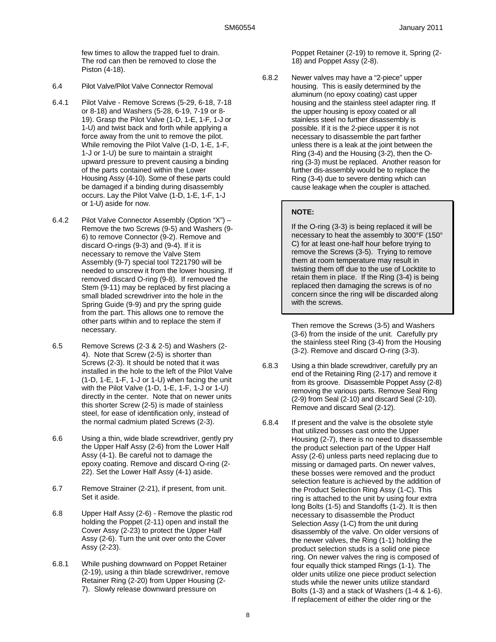few times to allow the trapped fuel to drain. The rod can then be removed to close the Piston (4-18).

- 6.4 Pilot Valve/Pilot Valve Connector Removal
- 6.4.1 Pilot Valve Remove Screws (5-29, 6-18, 7-18 or 8-18) and Washers (5-28, 6-19, 7-19 or 8- 19). Grasp the Pilot Valve (1-D, 1-E, 1-F, 1-J or 1-U) and twist back and forth while applying a force away from the unit to remove the pilot. While removing the Pilot Valve (1-D, 1-E, 1-F, 1-J or 1-U) be sure to maintain a straight upward pressure to prevent causing a binding of the parts contained within the Lower Housing Assy (4-10). Some of these parts could be damaged if a binding during disassembly occurs. Lay the Pilot Valve (1-D, 1-E, 1-F, 1-J or 1-U) aside for now.
- 6.4.2 Pilot Valve Connector Assembly (Option "X") Remove the two Screws (9-5) and Washers (9- 6) to remove Connector (9-2). Remove and discard O-rings (9-3) and (9-4). If it is necessary to remove the Valve Stem Assembly (9-7) special tool T221790 will be needed to unscrew it from the lower housing. If removed discard O-ring (9-8). If removed the Stem (9-11) may be replaced by first placing a small bladed screwdriver into the hole in the Spring Guide (9-9) and pry the spring guide from the part. This allows one to remove the other parts within and to replace the stem if necessary.
- 6.5 Remove Screws (2-3 & 2-5) and Washers (2- 4). Note that Screw (2-5) is shorter than Screws (2-3). It should be noted that it was installed in the hole to the left of the Pilot Valve (1-D, 1-E, 1-F, 1-J or 1-U) when facing the unit with the Pilot Valve (1-D, 1-E, 1-F, 1-J or 1-U) directly in the center. Note that on newer units this shorter Screw (2-5) is made of stainless steel, for ease of identification only, instead of the normal cadmium plated Screws (2-3).
- 6.6 Using a thin, wide blade screwdriver, gently pry the Upper Half Assy (2-6) from the Lower Half Assy (4-1). Be careful not to damage the epoxy coating. Remove and discard O-ring (2- 22). Set the Lower Half Assy (4-1) aside.
- 6.7 Remove Strainer (2-21), if present, from unit. Set it aside.
- 6.8 Upper Half Assy (2-6) Remove the plastic rod holding the Poppet (2-11) open and install the Cover Assy (2-23) to protect the Upper Half Assy (2-6). Turn the unit over onto the Cover Assy (2-23).
- 6.8.1 While pushing downward on Poppet Retainer (2-19), using a thin blade screwdriver, remove Retainer Ring (2-20) from Upper Housing (2- 7). Slowly release downward pressure on

Poppet Retainer (2-19) to remove it, Spring (2- 18) and Poppet Assy (2-8).

6.8.2 Newer valves may have a "2-piece" upper housing. This is easily determined by the aluminum (no epoxy coating) cast upper housing and the stainless steel adapter ring. If the upper housing is epoxy coated or all stainless steel no further disassembly is possible. If it is the 2-piece upper it is not necessary to disassemble the part farther unless there is a leak at the joint between the Ring (3-4) and the Housing (3-2), then the Oring (3-3) must be replaced. Another reason for further dis-assembly would be to replace the Ring (3-4) due to severe denting which can cause leakage when the coupler is attached.

## **NOTE:**

If the O-ring (3-3) is being replaced it will be necessary to heat the assembly to 300°F (150° C) for at least one-half hour before trying to remove the Screws (3-5). Trying to remove them at room temperature may result in twisting them off due to the use of Locktite to retain them in place. If the Ring (3-4) is being replaced then damaging the screws is of no concern since the ring will be discarded along with the screws.

Then remove the Screws (3-5) and Washers (3-6) from the inside of the unit. Carefully pry the stainless steel Ring (3-4) from the Housing (3-2). Remove and discard O-ring (3-3).

- 6.8.3 Using a thin blade screwdriver, carefully pry an end of the Retaining Ring (2-17) and remove it from its groove. Disassemble Poppet Assy (2-8) removing the various parts. Remove Seal Ring (2-9) from Seal (2-10) and discard Seal (2-10). Remove and discard Seal (2-12).
- 6.8.4 If present and the valve is the obsolete style that utilized bosses cast onto the Upper Housing (2-7), there is no need to disassemble the product selection part of the Upper Half Assy (2-6) unless parts need replacing due to missing or damaged parts. On newer valves, these bosses were removed and the product selection feature is achieved by the addition of the Product Selection Ring Assy (1-C). This ring is attached to the unit by using four extra long Bolts (1-5) and Standoffs (1-2). It is then necessary to disassemble the Product Selection Assy (1-C) from the unit during disassembly of the valve. On older versions of the newer valves, the Ring (1-1) holding the product selection studs is a solid one piece ring. On newer valves the ring is composed of four equally thick stamped Rings (1-1). The older units utilize one piece product selection studs while the newer units utilize standard Bolts (1-3) and a stack of Washers (1-4 & 1-6). If replacement of either the older ring or the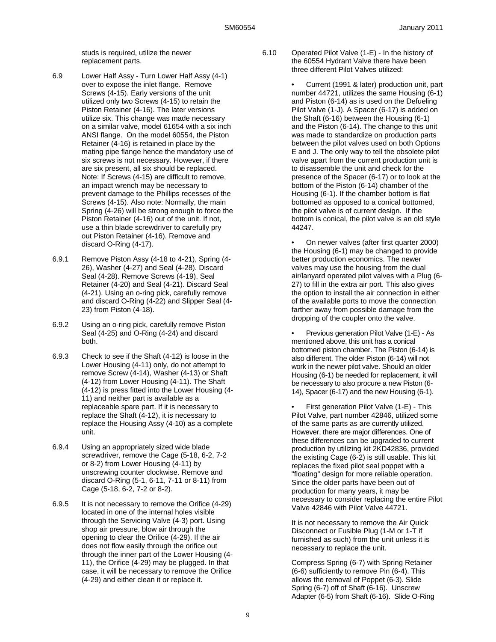studs is required, utilize the newer replacement parts.

- 6.9 Lower Half Assy Turn Lower Half Assy (4-1) over to expose the inlet flange. Remove Screws (4-15). Early versions of the unit utilized only two Screws (4-15) to retain the Piston Retainer (4-16). The later versions utilize six. This change was made necessary on a similar valve, model 61654 with a six inch ANSI flange. On the model 60554, the Piston Retainer (4-16) is retained in place by the mating pipe flange hence the mandatory use of six screws is not necessary. However, if there are six present, all six should be replaced. Note: If Screws (4-15) are difficult to remove, an impact wrench may be necessary to prevent damage to the Phillips recesses of the Screws (4-15). Also note: Normally, the main Spring (4-26) will be strong enough to force the Piston Retainer (4-16) out of the unit. If not, use a thin blade screwdriver to carefully pry out Piston Retainer (4-16). Remove and discard O-Ring (4-17).
- 6.9.1 Remove Piston Assy (4-18 to 4-21), Spring (4- 26), Washer (4-27) and Seal (4-28). Discard Seal (4-28). Remove Screws (4-19), Seal Retainer (4-20) and Seal (4-21). Discard Seal (4-21). Using an o-ring pick, carefully remove and discard O-Ring (4-22) and Slipper Seal (4- 23) from Piston (4-18).
- 6.9.2 Using an o-ring pick, carefully remove Piston Seal (4-25) and O-Ring (4-24) and discard both.
- 6.9.3 Check to see if the Shaft (4-12) is loose in the Lower Housing (4-11) only, do not attempt to remove Screw (4-14), Washer (4-13) or Shaft (4-12) from Lower Housing (4-11). The Shaft (4-12) is press fitted into the Lower Housing (4- 11) and neither part is available as a replaceable spare part. If it is necessary to replace the Shaft (4-12), it is necessary to replace the Housing Assy (4-10) as a complete unit.
- 6.9.4 Using an appropriately sized wide blade screwdriver, remove the Cage (5-18, 6-2, 7-2 or 8-2) from Lower Housing (4-11) by unscrewing counter clockwise. Remove and discard O-Ring (5-1, 6-11, 7-11 or 8-11) from Cage (5-18, 6-2, 7-2 or 8-2).
- 6.9.5 It is not necessary to remove the Orifice (4-29) located in one of the internal holes visible through the Servicing Valve (4-3) port. Using shop air pressure, blow air through the opening to clear the Orifice (4-29). If the air does not flow easily through the orifice out through the inner part of the Lower Housing (4- 11), the Orifice (4-29) may be plugged. In that case, it will be necessary to remove the Orifice (4-29) and either clean it or replace it.
- - 6.10 Operated Pilot Valve (1-E) In the history of the 60554 Hydrant Valve there have been three different Pilot Valves utilized:

• Current (1991 & later) production unit, part number 44721, utilizes the same Housing (6-1) and Piston (6-14) as is used on the Defueling Pilot Valve (1-J). A Spacer (6-17) is added on the Shaft (6-16) between the Housing (6-1) and the Piston (6-14). The change to this unit was made to standardize on production parts between the pilot valves used on both Options E and J. The only way to tell the obsolete pilot valve apart from the current production unit is to disassemble the unit and check for the presence of the Spacer (6-17) or to look at the bottom of the Piston (6-14) chamber of the Housing (6-1). If the chamber bottom is flat bottomed as opposed to a conical bottomed, the pilot valve is of current design. If the bottom is conical, the pilot valve is an old style 44247.

• On newer valves (after first quarter 2000) the Housing (6-1) may be changed to provide better production economics. The newer valves may use the housing from the dual air/lanyard operated pilot valves with a Plug (6- 27) to fill in the extra air port. This also gives the option to install the air connection in either of the available ports to move the connection farther away from possible damage from the dropping of the coupler onto the valve.

• Previous generation Pilot Valve (1-E) - As mentioned above, this unit has a conical bottomed piston chamber. The Piston (6-14) is also different. The older Piston (6-14) will not work in the newer pilot valve. Should an older Housing (6-1) be needed for replacement, it will be necessary to also procure a new Piston (6- 14), Spacer (6-17) and the new Housing (6-1).

• First generation Pilot Valve (1-E) - This Pilot Valve, part number 42846, utilized some of the same parts as are currently utilized. However, there are major differences. One of these differences can be upgraded to current production by utilizing kit 2KD42836, provided the existing Cage (6-2) is still usable. This kit replaces the fixed pilot seal poppet with a "floating" design for more reliable operation. Since the older parts have been out of production for many years, it may be necessary to consider replacing the entire Pilot Valve 42846 with Pilot Valve 44721.

It is not necessary to remove the Air Quick Disconnect or Fusible Plug (1-M or 1-T if furnished as such) from the unit unless it is necessary to replace the unit.

Compress Spring (6-7) with Spring Retainer (6-6) sufficiently to remove Pin (6-4). This allows the removal of Poppet (6-3). Slide Spring (6-7) off of Shaft (6-16). Unscrew Adapter (6-5) from Shaft (6-16). Slide O-Ring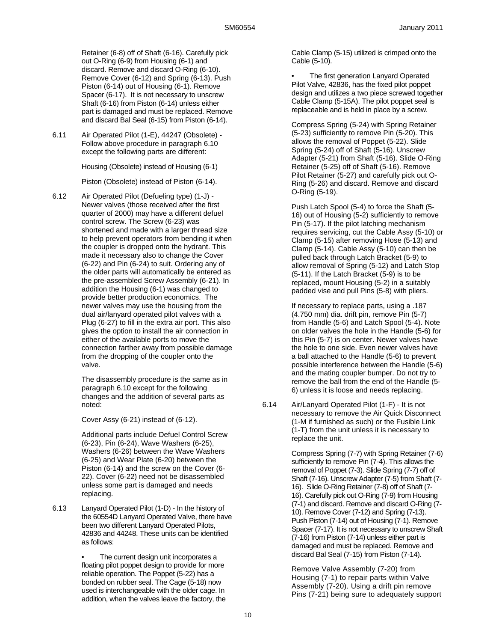Retainer (6-8) off of Shaft (6-16). Carefully pick out O-Ring (6-9) from Housing (6-1) and discard. Remove and discard O-Ring (6-10). Remove Cover (6-12) and Spring (6-13). Push Piston (6-14) out of Housing (6-1). Remove Spacer (6-17). It is not necessary to unscrew Shaft (6-16) from Piston (6-14) unless either part is damaged and must be replaced. Remove and discard Bal Seal (6-15) from Piston (6-14).

6.11 Air Operated Pilot (1-E), 44247 (Obsolete) - Follow above procedure in paragraph 6.10 except the following parts are different:

Housing (Obsolete) instead of Housing (6-1)

Piston (Obsolete) instead of Piston (6-14).

6.12 Air Operated Pilot (Defueling type) (1-J) - Newer valves (those received after the first quarter of 2000) may have a different defuel control screw. The Screw (6-23) was shortened and made with a larger thread size to help prevent operators from bending it when the coupler is dropped onto the hydrant. This made it necessary also to change the Cover (6-22) and Pin (6-24) to suit. Ordering any of the older parts will automatically be entered as the pre-assembled Screw Assembly (6-21). In addition the Housing (6-1) was changed to provide better production economics. The newer valves may use the housing from the dual air/lanyard operated pilot valves with a Plug (6-27) to fill in the extra air port. This also gives the option to install the air connection in either of the available ports to move the connection farther away from possible damage from the dropping of the coupler onto the valve.

> The disassembly procedure is the same as in paragraph 6.10 except for the following changes and the addition of several parts as noted:

Cover Assy (6-21) instead of (6-12).

Additional parts include Defuel Control Screw (6-23), Pin (6-24), Wave Washers (6-25), Washers (6-26) between the Wave Washers (6-25) and Wear Plate (6-20) between the Piston (6-14) and the screw on the Cover (6- 22). Cover (6-22) need not be disassembled unless some part is damaged and needs replacing.

6.13 Lanyard Operated Pilot (1-D) - In the history of the 60554D Lanyard Operated Valve, there have been two different Lanyard Operated Pilots, 42836 and 44248. These units can be identified as follows:

> The current design unit incorporates a floating pilot poppet design to provide for more reliable operation. The Poppet (5-22) has a bonded on rubber seal. The Cage (5-18) now used is interchangeable with the older cage. In addition, when the valves leave the factory, the

Cable Clamp (5-15) utilized is crimped onto the Cable (5-10).

The first generation Lanyard Operated Pilot Valve, 42836, has the fixed pilot poppet design and utilizes a two piece screwed together Cable Clamp (5-15A). The pilot poppet seal is replaceable and is held in place by a screw.

Compress Spring (5-24) with Spring Retainer (5-23) sufficiently to remove Pin (5-20). This allows the removal of Poppet (5-22). Slide Spring (5-24) off of Shaft (5-16). Unscrew Adapter (5-21) from Shaft (5-16). Slide O-Ring Retainer (5-25) off of Shaft (5-16). Remove Pilot Retainer (5-27) and carefully pick out O-Ring (5-26) and discard. Remove and discard O-Ring (5-19).

Push Latch Spool (5-4) to force the Shaft (5- 16) out of Housing (5-2) sufficiently to remove Pin (5-17). If the pilot latching mechanism requires servicing, cut the Cable Assy (5-10) or Clamp (5-15) after removing Hose (5-13) and Clamp (5-14). Cable Assy (5-10) can then be pulled back through Latch Bracket (5-9) to allow removal of Spring (5-12) and Latch Stop (5-11). If the Latch Bracket (5-9) is to be replaced, mount Housing (5-2) in a suitably padded vise and pull Pins (5-8) with pliers.

If necessary to replace parts, using a .187 (4.750 mm) dia. drift pin, remove Pin (5-7) from Handle (5-6) and Latch Spool (5-4). Note on older valves the hole in the Handle (5-6) for this Pin (5-7) is on center. Newer valves have the hole to one side. Even newer valves have a ball attached to the Handle (5-6) to prevent possible interference between the Handle (5-6) and the mating coupler bumper. Do not try to remove the ball from the end of the Handle (5- 6) unless it is loose and needs replacing.

6.14 Air/Lanyard Operated Pilot (1-F) - It is not necessary to remove the Air Quick Disconnect (1-M if furnished as such) or the Fusible Link (1-T) from the unit unless it is necessary to replace the unit.

> Compress Spring (7-7) with Spring Retainer (7-6) sufficiently to remove Pin (7-4). This allows the removal of Poppet (7-3). Slide Spring (7-7) off of Shaft (7-16). Unscrew Adapter (7-5) from Shaft (7- 16). Slide O-Ring Retainer (7-8) off of Shaft (7- 16). Carefully pick out O-Ring (7-9) from Housing (7-1) and discard. Remove and discard O-Ring (7- 10). Remove Cover (7-12) and Spring (7-13). Push Piston (7-14) out of Housing (7-1). Remove Spacer (7-17). It is not necessary to unscrew Shaft (7-16) from Piston (7-14) unless either part is damaged and must be replaced. Remove and discard Bal Seal (7-15) from Piston (7-14).

Remove Valve Assembly (7-20) from Housing (7-1) to repair parts within Valve Assembly (7-20). Using a drift pin remove Pins (7-21) being sure to adequately support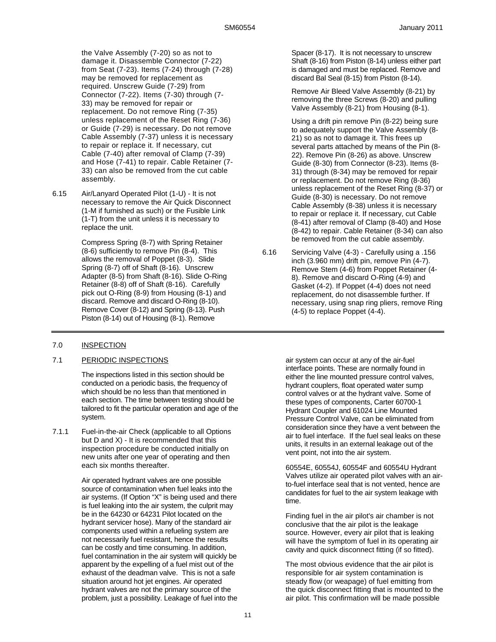the Valve Assembly (7-20) so as not to damage it. Disassemble Connector (7-22) from Seat (7-23). Items (7-24) through (7-28) may be removed for replacement as required. Unscrew Guide (7-29) from Connector (7-22). Items (7-30) through (7- 33) may be removed for repair or replacement. Do not remove Ring (7-35) unless replacement of the Reset Ring (7-36) or Guide (7-29) is necessary. Do not remove Cable Assembly (7-37) unless it is necessary to repair or replace it. If necessary, cut Cable (7-40) after removal of Clamp (7-39) and Hose (7-41) to repair. Cable Retainer (7- 33) can also be removed from the cut cable assembly.

6.15 Air/Lanyard Operated Pilot (1-U) - It is not necessary to remove the Air Quick Disconnect (1-M if furnished as such) or the Fusible Link (1-T) from the unit unless it is necessary to replace the unit.

> Compress Spring (8-7) with Spring Retainer (8-6) sufficiently to remove Pin (8-4). This allows the removal of Poppet (8-3). Slide Spring (8-7) off of Shaft (8-16). Unscrew Adapter (8-5) from Shaft (8-16). Slide O-Ring Retainer (8-8) off of Shaft (8-16). Carefully pick out O-Ring (8-9) from Housing (8-1) and discard. Remove and discard O-Ring (8-10). Remove Cover (8-12) and Spring (8-13). Push Piston (8-14) out of Housing (8-1). Remove

## 7.0 INSPECTION

## 7.1 PERIODIC INSPECTIONS

The inspections listed in this section should be conducted on a periodic basis, the frequency of which should be no less than that mentioned in each section. The time between testing should be tailored to fit the particular operation and age of the system.

7.1.1 Fuel-in-the-air Check (applicable to all Options but  $D$  and  $X$ ) - It is recommended that this inspection procedure be conducted initially on new units after one year of operating and then each six months thereafter.

> Air operated hydrant valves are one possible source of contamination when fuel leaks into the air systems. (If Option "X" is being used and there is fuel leaking into the air system, the culprit may be in the 64230 or 64231 Pilot located on the hydrant servicer hose). Many of the standard air components used within a refueling system are not necessarily fuel resistant, hence the results can be costly and time consuming. In addition, fuel contamination in the air system will quickly be apparent by the expelling of a fuel mist out of the exhaust of the deadman valve. This is not a safe situation around hot jet engines. Air operated hydrant valves are not the primary source of the problem, just a possibility. Leakage of fuel into the

Spacer (8-17). It is not necessary to unscrew Shaft (8-16) from Piston (8-14) unless either part is damaged and must be replaced. Remove and discard Bal Seal (8-15) from Piston (8-14).

Remove Air Bleed Valve Assembly (8-21) by removing the three Screws (8-20) and pulling Valve Assembly (8-21) from Housing (8-1).

Using a drift pin remove Pin (8-22) being sure to adequately support the Valve Assembly (8- 21) so as not to damage it. This frees up several parts attached by means of the Pin (8- 22). Remove Pin (8-26) as above. Unscrew Guide (8-30) from Connector (8-23). Items (8- 31) through (8-34) may be removed for repair or replacement. Do not remove Ring (8-36) unless replacement of the Reset Ring (8-37) or Guide (8-30) is necessary. Do not remove Cable Assembly (8-38) unless it is necessary to repair or replace it. If necessary, cut Cable (8-41) after removal of Clamp (8-40) and Hose (8-42) to repair. Cable Retainer (8-34) can also be removed from the cut cable assembly.

6.16 Servicing Valve (4-3) - Carefully using a .156 inch (3.960 mm) drift pin, remove Pin (4-7). Remove Stem (4-6) from Poppet Retainer (4- 8). Remove and discard O-Ring (4-9) and Gasket (4-2). If Poppet (4-4) does not need replacement, do not disassemble further. If necessary, using snap ring pliers, remove Ring (4-5) to replace Poppet (4-4).

> air system can occur at any of the air-fuel interface points. These are normally found in either the line mounted pressure control valves, hydrant couplers, float operated water sump control valves or at the hydrant valve. Some of these types of components, Carter 60700-1 Hydrant Coupler and 61024 Line Mounted Pressure Control Valve, can be eliminated from consideration since they have a vent between the air to fuel interface. If the fuel seal leaks on these units, it results in an external leakage out of the vent point, not into the air system.

> 60554E, 60554J, 60554F and 60554U Hydrant Valves utilize air operated pilot valves with an airto-fuel interface seal that is not vented, hence are candidates for fuel to the air system leakage with time.

Finding fuel in the air pilot's air chamber is not conclusive that the air pilot is the leakage source. However, every air pilot that is leaking will have the symptom of fuel in its operating air cavity and quick disconnect fitting (if so fitted).

The most obvious evidence that the air pilot is responsible for air system contamination is steady flow (or weapage) of fuel emitting from the quick disconnect fitting that is mounted to the air pilot. This confirmation will be made possible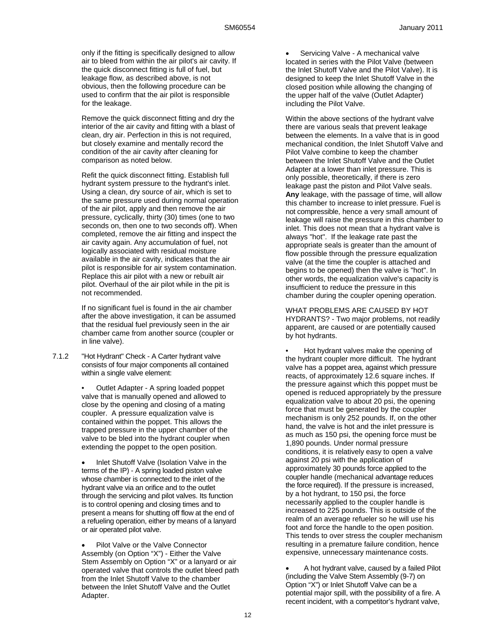only if the fitting is specifically designed to allow air to bleed from within the air pilot's air cavity. If the quick disconnect fitting is full of fuel, but leakage flow, as described above, is not obvious, then the following procedure can be used to confirm that the air pilot is responsible for the leakage.

Remove the quick disconnect fitting and dry the interior of the air cavity and fitting with a blast of clean, dry air. Perfection in this is not required, but closely examine and mentally record the condition of the air cavity after cleaning for comparison as noted below.

Refit the quick disconnect fitting. Establish full hydrant system pressure to the hydrant's inlet. Using a clean, dry source of air, which is set to the same pressure used during normal operation of the air pilot, apply and then remove the air pressure, cyclically, thirty (30) times (one to two seconds on, then one to two seconds off). When completed, remove the air fitting and inspect the air cavity again. Any accumulation of fuel, not logically associated with residual moisture available in the air cavity, indicates that the air pilot is responsible for air system contamination. Replace this air pilot with a new or rebuilt air pilot. Overhaul of the air pilot while in the pit is not recommended.

If no significant fuel is found in the air chamber after the above investigation, it can be assumed that the residual fuel previously seen in the air chamber came from another source (coupler or in line valve).

7.1.2 "Hot Hydrant" Check - A Carter hydrant valve consists of four major components all contained within a single valve element:

> • Outlet Adapter - A spring loaded poppet valve that is manually opened and allowed to close by the opening and closing of a mating coupler. A pressure equalization valve is contained within the poppet. This allows the trapped pressure in the upper chamber of the valve to be bled into the hydrant coupler when extending the poppet to the open position.

 Inlet Shutoff Valve (Isolation Valve in the terms of the IP) - A spring loaded piston valve whose chamber is connected to the inlet of the hydrant valve via an orifice and to the outlet through the servicing and pilot valves. Its function is to control opening and closing times and to present a means for shutting off flow at the end of a refueling operation, either by means of a lanyard or air operated pilot valve.

 Pilot Valve or the Valve Connector Assembly (on Option "X") - Either the Valve Stem Assembly on Option "X" or a lanyard or air operated valve that controls the outlet bleed path from the Inlet Shutoff Valve to the chamber between the Inlet Shutoff Valve and the Outlet Adapter.

 Servicing Valve - A mechanical valve located in series with the Pilot Valve (between the Inlet Shutoff Valve and the Pilot Valve). It is designed to keep the Inlet Shutoff Valve in the closed position while allowing the changing of the upper half of the valve (Outlet Adapter) including the Pilot Valve.

Within the above sections of the hydrant valve there are various seals that prevent leakage between the elements. In a valve that is in good mechanical condition, the Inlet Shutoff Valve and Pilot Valve combine to keep the chamber between the Inlet Shutoff Valve and the Outlet Adapter at a lower than inlet pressure. This is only possible, theoretically, if there is zero leakage past the piston and Pilot Valve seals. **Any** leakage, with the passage of time, will allow this chamber to increase to inlet pressure. Fuel is not compressible, hence a very small amount of leakage will raise the pressure in this chamber to inlet. This does not mean that a hydrant valve is always "hot". If the leakage rate past the appropriate seals is greater than the amount of flow possible through the pressure equalization valve (at the time the coupler is attached and begins to be opened) then the valve is "hot". In other words, the equalization valve's capacity is insufficient to reduce the pressure in this chamber during the coupler opening operation.

WHAT PROBLEMS ARE CAUSED BY HOT HYDRANTS? - Two major problems, not readily apparent, are caused or are potentially caused by hot hydrants.

• Hot hydrant valves make the opening of the hydrant coupler more difficult. The hydrant valve has a poppet area, against which pressure reacts, of approximately 12.6 square inches. If the pressure against which this poppet must be opened is reduced appropriately by the pressure equalization valve to about 20 psi, the opening force that must be generated by the coupler mechanism is only 252 pounds. If, on the other hand, the valve is hot and the inlet pressure is as much as 150 psi, the opening force must be 1,890 pounds. Under normal pressure conditions, it is relatively easy to open a valve against 20 psi with the application of approximately 30 pounds force applied to the coupler handle (mechanical advantage reduces the force required). If the pressure is increased, by a hot hydrant, to 150 psi, the force necessarily applied to the coupler handle is increased to 225 pounds. This is outside of the realm of an average refueler so he will use his foot and force the handle to the open position. This tends to over stress the coupler mechanism resulting in a premature failure condition, hence expensive, unnecessary maintenance costs.

 A hot hydrant valve, caused by a failed Pilot (including the Valve Stem Assembly (9-7) on Option "X") or Inlet Shutoff Valve can be a potential major spill, with the possibility of a fire. A recent incident, with a competitor's hydrant valve,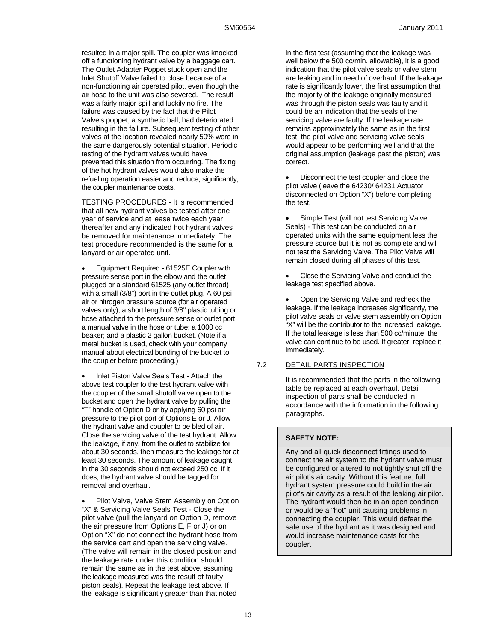resulted in a major spill. The coupler was knocked off a functioning hydrant valve by a baggage cart. The Outlet Adapter Poppet stuck open and the Inlet Shutoff Valve failed to close because of a non-functioning air operated pilot, even though the air hose to the unit was also severed. The result was a fairly major spill and luckily no fire. The failure was caused by the fact that the Pilot Valve's poppet, a synthetic ball, had deteriorated resulting in the failure. Subsequent testing of other valves at the location revealed nearly 50% were in the same dangerously potential situation. Periodic testing of the hydrant valves would have prevented this situation from occurring. The fixing of the hot hydrant valves would also make the refueling operation easier and reduce, significantly, the coupler maintenance costs.

TESTING PROCEDURES - It is recommended that all new hydrant valves be tested after one year of service and at lease twice each year thereafter and any indicated hot hydrant valves be removed for maintenance immediately. The test procedure recommended is the same for a lanyard or air operated unit.

 Equipment Required - 61525E Coupler with pressure sense port in the elbow and the outlet plugged or a standard 61525 (any outlet thread) with a small (3/8") port in the outlet plug. A 60 psi air or nitrogen pressure source (for air operated valves only); a short length of 3/8" plastic tubing or hose attached to the pressure sense or outlet port, a manual valve in the hose or tube; a 1000 cc beaker; and a plastic 2 gallon bucket. (Note if a metal bucket is used, check with your company manual about electrical bonding of the bucket to the coupler before proceeding.)

 Inlet Piston Valve Seals Test - Attach the above test coupler to the test hydrant valve with the coupler of the small shutoff valve open to the bucket and open the hydrant valve by pulling the "T" handle of Option D or by applying 60 psi air pressure to the pilot port of Options E or J. Allow the hydrant valve and coupler to be bled of air. Close the servicing valve of the test hydrant. Allow the leakage, if any, from the outlet to stabilize for about 30 seconds, then measure the leakage for at least 30 seconds. The amount of leakage caught in the 30 seconds should not exceed 250 cc. If it does, the hydrant valve should be tagged for removal and overhaul.

 Pilot Valve, Valve Stem Assembly on Option "X" & Servicing Valve Seals Test - Close the pilot valve (pull the lanyard on Option D, remove the air pressure from Options E, F or J) or on Option "X" do not connect the hydrant hose from the service cart and open the servicing valve. (The valve will remain in the closed position and the leakage rate under this condition should remain the same as in the test above, assuming the leakage measured was the result of faulty piston seals). Repeat the leakage test above. If the leakage is significantly greater than that noted

in the first test (assuming that the leakage was well below the 500 cc/min. allowable), it is a good indication that the pilot valve seals or valve stem are leaking and in need of overhaul. If the leakage rate is significantly lower, the first assumption that the majority of the leakage originally measured was through the piston seals was faulty and it could be an indication that the seals of the servicing valve are faulty. If the leakage rate remains approximately the same as in the first test, the pilot valve and servicing valve seals would appear to be performing well and that the original assumption (leakage past the piston) was correct.

 Disconnect the test coupler and close the pilot valve (leave the 64230/ 64231 Actuator disconnected on Option "X") before completing the test.

 Simple Test (will not test Servicing Valve Seals) - This test can be conducted on air operated units with the same equipment less the pressure source but it is not as complete and will not test the Servicing Valve. The Pilot Valve will remain closed during all phases of this test.

 Close the Servicing Valve and conduct the leakage test specified above.

 Open the Servicing Valve and recheck the leakage. If the leakage increases significantly, the pilot valve seals or valve stem assembly on Option "X" will be the contributor to the increased leakage. If the total leakage is less than 500 cc/minute, the valve can continue to be used. If greater, replace it immediately.

## 7.2 DETAIL PARTS INSPECTION

It is recommended that the parts in the following table be replaced at each overhaul. Detail inspection of parts shall be conducted in accordance with the information in the following paragraphs.

## **SAFETY NOTE:**

Any and all quick disconnect fittings used to connect the air system to the hydrant valve must be configured or altered to not tightly shut off the air pilot's air cavity. Without this feature, full hydrant system pressure could build in the air pilot's air cavity as a result of the leaking air pilot. The hydrant would then be in an open condition or would be a "hot" unit causing problems in connecting the coupler. This would defeat the safe use of the hydrant as it was designed and would increase maintenance costs for the coupler.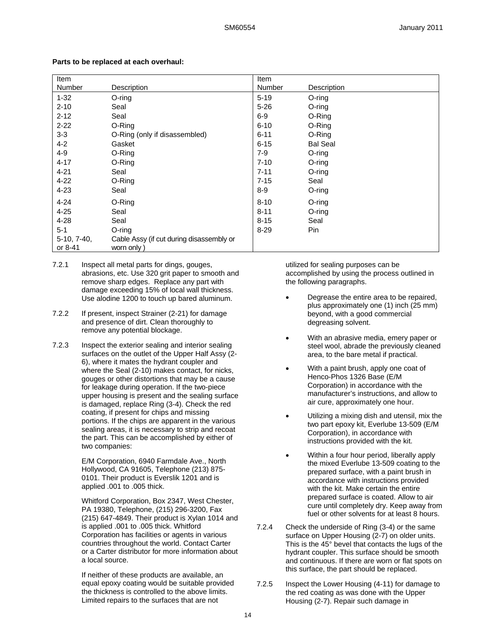| <b>Item</b>              |                                                        | Item     |                 |
|--------------------------|--------------------------------------------------------|----------|-----------------|
| Number                   | Description                                            | Number   | Description     |
| $1 - 32$                 | $O$ -ring                                              | $5 - 19$ | $O$ -ring       |
| $2 - 10$                 | Seal                                                   | $5 - 26$ | O-ring          |
| $2 - 12$                 | Seal                                                   | $6 - 9$  | O-Ring          |
| $2 - 22$                 | O-Ring                                                 | $6 - 10$ | O-Ring          |
| $3-3$                    | O-Ring (only if disassembled)                          | $6 - 11$ | O-Ring          |
| $4 - 2$                  | Gasket                                                 | $6 - 15$ | <b>Bal Seal</b> |
| $4 - 9$                  | O-Ring                                                 | $7-9$    | $O$ -ring       |
| $4 - 17$                 | O-Ring                                                 | $7 - 10$ | O-ring          |
| $4 - 21$                 | Seal                                                   | $7 - 11$ | O-ring          |
| $4 - 22$                 | O-Ring                                                 | $7 - 15$ | Seal            |
| $4 - 23$                 | Seal                                                   | $8-9$    | $O$ -ring       |
| $4 - 24$                 | O-Ring                                                 | $8 - 10$ | O-ring          |
| $4 - 25$                 | Seal                                                   | $8 - 11$ | $O$ -ring       |
| $4 - 28$                 | Seal                                                   | $8 - 15$ | Seal            |
| $5 - 1$                  | O-ring                                                 | $8 - 29$ | Pin             |
| $5-10, 7-40,$<br>or 8-41 | Cable Assy (if cut during disassembly or<br>worn only) |          |                 |

#### **Parts to be replaced at each overhaul:**

- 7.2.1 Inspect all metal parts for dings, gouges, abrasions, etc. Use 320 grit paper to smooth and remove sharp edges. Replace any part with damage exceeding 15% of local wall thickness. Use alodine 1200 to touch up bared aluminum.
- 7.2.2 If present, inspect Strainer (2-21) for damage and presence of dirt. Clean thoroughly to remove any potential blockage.
- 7.2.3 Inspect the exterior sealing and interior sealing surfaces on the outlet of the Upper Half Assy (2- 6), where it mates the hydrant coupler and where the Seal (2-10) makes contact, for nicks, gouges or other distortions that may be a cause for leakage during operation. If the two-piece upper housing is present and the sealing surface is damaged, replace Ring (3-4). Check the red coating, if present for chips and missing portions. If the chips are apparent in the various sealing areas, it is necessary to strip and recoat the part. This can be accomplished by either of two companies:

E/M Corporation, 6940 Farmdale Ave., North Hollywood, CA 91605, Telephone (213) 875- 0101. Their product is Everslik 1201 and is applied .001 to .005 thick.

Whitford Corporation, Box 2347, West Chester, PA 19380, Telephone, (215) 296-3200, Fax (215) 647-4849. Their product is Xylan 1014 and is applied .001 to .005 thick. Whitford Corporation has facilities or agents in various countries throughout the world. Contact Carter or a Carter distributor for more information about a local source.

If neither of these products are available, an equal epoxy coating would be suitable provided the thickness is controlled to the above limits. Limited repairs to the surfaces that are not

utilized for sealing purposes can be accomplished by using the process outlined in the following paragraphs.

- Degrease the entire area to be repaired, plus approximately one (1) inch (25 mm) beyond, with a good commercial degreasing solvent.
- With an abrasive media, emery paper or steel wool, abrade the previously cleaned area, to the bare metal if practical.
- With a paint brush, apply one coat of Henco-Phos 1326 Base (E/M Corporation) in accordance with the manufacturer's instructions, and allow to air cure, approximately one hour.
- Utilizing a mixing dish and utensil, mix the two part epoxy kit, Everlube 13-509 (E/M Corporation), in accordance with instructions provided with the kit.
- Within a four hour period, liberally apply the mixed Everlube 13-509 coating to the prepared surface, with a paint brush in accordance with instructions provided with the kit. Make certain the entire prepared surface is coated. Allow to air cure until completely dry. Keep away from fuel or other solvents for at least 8 hours.
- 7.2.4 Check the underside of Ring (3-4) or the same surface on Upper Housing (2-7) on older units. This is the 45° bevel that contacts the lugs of the hydrant coupler. This surface should be smooth and continuous. If there are worn or flat spots on this surface, the part should be replaced.
- 7.2.5 Inspect the Lower Housing (4-11) for damage to the red coating as was done with the Upper Housing (2-7). Repair such damage in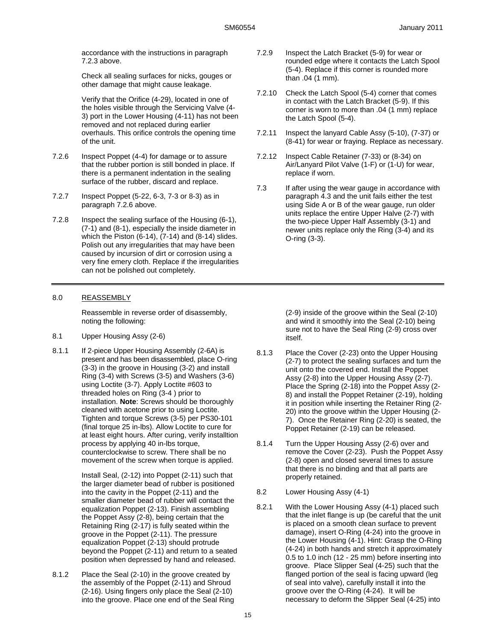accordance with the instructions in paragraph 7.2.3 above.

Check all sealing surfaces for nicks, gouges or other damage that might cause leakage.

Verify that the Orifice (4-29), located in one of the holes visible through the Servicing Valve (4- 3) port in the Lower Housing (4-11) has not been removed and not replaced during earlier overhauls. This orifice controls the opening time of the unit.

- 7.2.6 Inspect Poppet (4-4) for damage or to assure that the rubber portion is still bonded in place. If there is a permanent indentation in the sealing surface of the rubber, discard and replace.
- 7.2.7 Inspect Poppet (5-22, 6-3, 7-3 or 8-3) as in paragraph 7.2.6 above.
- 7.2.8 Inspect the sealing surface of the Housing (6-1), (7-1) and (8-1), especially the inside diameter in which the Piston (6-14), (7-14) and (8-14) slides. Polish out any irregularities that may have been caused by incursion of dirt or corrosion using a very fine emery cloth. Replace if the irregularities can not be polished out completely.

### 8.0 REASSEMBLY

Reassemble in reverse order of disassembly, noting the following:

- 8.1 Upper Housing Assy (2-6)
- 8.1.1 If 2-piece Upper Housing Assembly (2-6A) is present and has been disassembled, place O-ring (3-3) in the groove in Housing (3-2) and install Ring (3-4) with Screws (3-5) and Washers (3-6) using Loctite (3-7). Apply Loctite #603 to threaded holes on Ring (3-4 ) prior to installation. **Note**: Screws should be thoroughly cleaned with acetone prior to using Loctite. Tighten and torque Screws (3-5) per PS30-101 (final torque 25 in-lbs). Allow Loctite to cure for at least eight hours. After curing, verify installtion process by applying 40 in-lbs torque, counterclockwise to screw. There shall be no movement of the screw when torque is applied.

Install Seal, (2-12) into Poppet (2-11) such that the larger diameter bead of rubber is positioned into the cavity in the Poppet (2-11) and the smaller diameter bead of rubber will contact the equalization Poppet (2-13). Finish assembling the Poppet Assy (2-8), being certain that the Retaining Ring (2-17) is fully seated within the groove in the Poppet (2-11). The pressure equalization Poppet (2-13) should protrude beyond the Poppet (2-11) and return to a seated position when depressed by hand and released.

8.1.2 Place the Seal (2-10) in the groove created by the assembly of the Poppet (2-11) and Shroud (2-16). Using fingers only place the Seal (2-10) into the groove. Place one end of the Seal Ring

- 7.2.9 Inspect the Latch Bracket (5-9) for wear or rounded edge where it contacts the Latch Spool (5-4). Replace if this corner is rounded more than .04 (1 mm).
- 7.2.10 Check the Latch Spool (5-4) corner that comes in contact with the Latch Bracket (5-9). If this corner is worn to more than .04 (1 mm) replace the Latch Spool (5-4).
- 7.2.11 Inspect the lanyard Cable Assy (5-10), (7-37) or (8-41) for wear or fraying. Replace as necessary.
- 7.2.12 Inspect Cable Retainer (7-33) or (8-34) on Air/Lanyard Pilot Valve (1-F) or (1-U) for wear, replace if worn.
- 7.3 If after using the wear gauge in accordance with paragraph 4.3 and the unit fails either the test using Side A or B of the wear gauge, run older units replace the entire Upper Halve (2-7) with the two-piece Upper Half Assembly (3-1) and newer units replace only the Ring (3-4) and its O-ring (3-3).

(2-9) inside of the groove within the Seal (2-10) and wind it smoothly into the Seal (2-10) being sure not to have the Seal Ring (2-9) cross over itself.

- 8.1.3 Place the Cover (2-23) onto the Upper Housing (2-7) to protect the sealing surfaces and turn the unit onto the covered end. Install the Poppet Assy (2-8) into the Upper Housing Assy (2-7). Place the Spring (2-18) into the Poppet Assy (2- 8) and install the Poppet Retainer (2-19), holding it in position while inserting the Retainer Ring (2- 20) into the groove within the Upper Housing (2- 7). Once the Retainer Ring (2-20) is seated, the Poppet Retainer (2-19) can be released.
- 8.1.4 Turn the Upper Housing Assy (2-6) over and remove the Cover (2-23). Push the Poppet Assy (2-8) open and closed several times to assure that there is no binding and that all parts are properly retained.
- 8.2 Lower Housing Assy (4-1)
- 8.2.1 With the Lower Housing Assy (4-1) placed such that the inlet flange is up (be careful that the unit is placed on a smooth clean surface to prevent damage), insert O-Ring (4-24) into the groove in the Lower Housing (4-1). Hint: Grasp the O-Ring (4-24) in both hands and stretch it approximately 0.5 to 1.0 inch (12 - 25 mm) before inserting into groove. Place Slipper Seal (4-25) such that the flanged portion of the seal is facing upward (leg of seal into valve), carefully install it into the groove over the O-Ring (4-24). It will be necessary to deform the Slipper Seal (4-25) into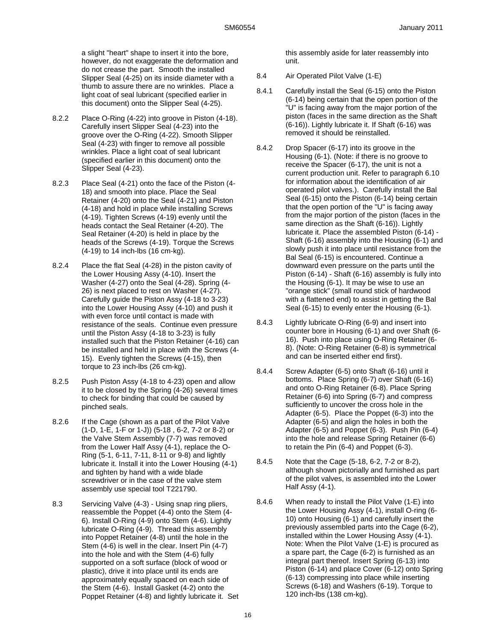a slight "heart" shape to insert it into the bore, however, do not exaggerate the deformation and do not crease the part. Smooth the installed Slipper Seal (4-25) on its inside diameter with a thumb to assure there are no wrinkles. Place a light coat of seal lubricant (specified earlier in this document) onto the Slipper Seal (4-25).

- 8.2.2 Place O-Ring (4-22) into groove in Piston (4-18). Carefully insert Slipper Seal (4-23) into the groove over the O-Ring (4-22). Smooth Slipper Seal (4-23) with finger to remove all possible wrinkles. Place a light coat of seal lubricant (specified earlier in this document) onto the Slipper Seal (4-23).
- 8.2.3 Place Seal (4-21) onto the face of the Piston (4- 18) and smooth into place. Place the Seal Retainer (4-20) onto the Seal (4-21) and Piston (4-18) and hold in place while installing Screws (4-19). Tighten Screws (4-19) evenly until the heads contact the Seal Retainer (4-20). The Seal Retainer (4-20) is held in place by the heads of the Screws (4-19). Torque the Screws (4-19) to 14 inch-lbs (16 cm-kg).
- 8.2.4 Place the flat Seal (4-28) in the piston cavity of the Lower Housing Assy (4-10). Insert the Washer (4-27) onto the Seal (4-28). Spring (4- 26) is next placed to rest on Washer (4-27). Carefully guide the Piston Assy (4-18 to 3-23) into the Lower Housing Assy (4-10) and push it with even force until contact is made with resistance of the seals. Continue even pressure until the Piston Assy (4-18 to 3-23) is fully installed such that the Piston Retainer (4-16) can be installed and held in place with the Screws (4- 15). Evenly tighten the Screws (4-15), then torque to 23 inch-lbs (26 cm-kg).
- 8.2.5 Push Piston Assy (4-18 to 4-23) open and allow it to be closed by the Spring (4-26) several times to check for binding that could be caused by pinched seals.
- 8.2.6 If the Cage (shown as a part of the Pilot Valve (1-D, 1-E, 1-F or 1-J)) (5-18 , 6-2, 7-2 or 8-2) or the Valve Stem Assembly (7-7) was removed from the Lower Half Assy (4-1), replace the O-Ring (5-1, 6-11, 7-11, 8-11 or 9-8) and lightly lubricate it. Install it into the Lower Housing (4-1) and tighten by hand with a wide blade screwdriver or in the case of the valve stem assembly use special tool T221790.
- 8.3 Servicing Valve (4-3) Using snap ring pliers, reassemble the Poppet (4-4) onto the Stem (4- 6). Install O-Ring (4-9) onto Stem (4-6). Lightly lubricate O-Ring (4-9). Thread this assembly into Poppet Retainer (4-8) until the hole in the Stem (4-6) is well in the clear. Insert Pin (4-7) into the hole and with the Stem (4-6) fully supported on a soft surface (block of wood or plastic), drive it into place until its ends are approximately equally spaced on each side of the Stem (4-6). Install Gasket (4-2) onto the Poppet Retainer (4-8) and lightly lubricate it. Set

this assembly aside for later reassembly into unit.

- 8.4 Air Operated Pilot Valve (1-E)
- 8.4.1 Carefully install the Seal (6-15) onto the Piston (6-14) being certain that the open portion of the "U" is facing away from the major portion of the piston (faces in the same direction as the Shaft (6-16)). Lightly lubricate it. If Shaft (6-16) was removed it should be reinstalled.
- 8.4.2 Drop Spacer (6-17) into its groove in the Housing (6-1). (Note: if there is no groove to receive the Spacer (6-17), the unit is not a current production unit. Refer to paragraph 6.10 for information about the identification of air operated pilot valves.). Carefully install the Bal Seal (6-15) onto the Piston (6-14) being certain that the open portion of the "U" is facing away from the major portion of the piston (faces in the same direction as the Shaft (6-16)). Lightly lubricate it. Place the assembled Piston (6-14) - Shaft (6-16) assembly into the Housing (6-1) and slowly push it into place until resistance from the Bal Seal (6-15) is encountered. Continue a downward even pressure on the parts until the Piston (6-14) - Shaft (6-16) assembly is fully into the Housing (6-1). It may be wise to use an "orange stick" (small round stick of hardwood with a flattened end) to assist in getting the Bal Seal (6-15) to evenly enter the Housing (6-1).
- 8.4.3 Lightly lubricate O-Ring (6-9) and insert into counter bore in Housing (6-1) and over Shaft (6- 16). Push into place using O-Ring Retainer (6- 8). (Note: O-Ring Retainer (6-8) is symmetrical and can be inserted either end first).
- 8.4.4 Screw Adapter (6-5) onto Shaft (6-16) until it bottoms. Place Spring (6-7) over Shaft (6-16) and onto O-Ring Retainer (6-8). Place Spring Retainer (6-6) into Spring (6-7) and compress sufficiently to uncover the cross hole in the Adapter (6-5). Place the Poppet (6-3) into the Adapter (6-5) and align the holes in both the Adapter (6-5) and Poppet (6-3). Push Pin (6-4) into the hole and release Spring Retainer (6-6) to retain the Pin (6-4) and Poppet (6-3).
- 8.4.5 Note that the Cage (5-18, 6-2, 7-2 or 8-2), although shown pictorially and furnished as part of the pilot valves, is assembled into the Lower Half Assy (4-1).
- 8.4.6 When ready to install the Pilot Valve (1-E) into the Lower Housing Assy (4-1), install O-ring (6- 10) onto Housing (6-1) and carefully insert the previously assembled parts into the Cage (6-2), installed within the Lower Housing Assy (4-1). Note: When the Pilot Valve (1-E) is procured as a spare part, the Cage (6-2) is furnished as an integral part thereof. Insert Spring (6-13) into Piston (6-14) and place Cover (6-12) onto Spring (6-13) compressing into place while inserting Screws (6-18) and Washers (6-19). Torque to 120 inch-lbs (138 cm-kg).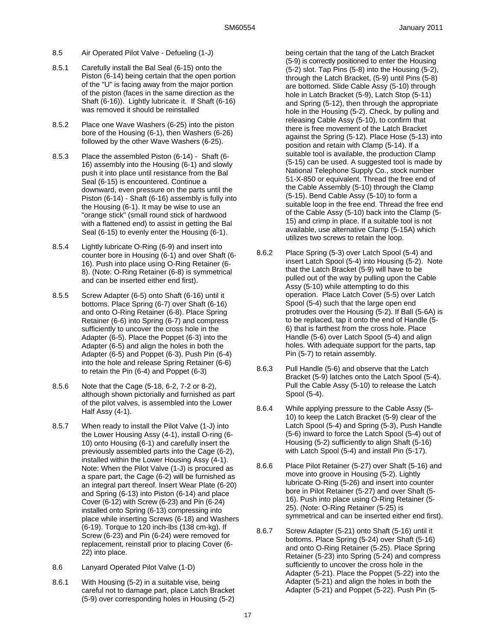- 8.5 Air Operated Pilot Valve Defueling (1-J)
- 8.5.1 Carefully install the Bal Seal (6-15) onto the Piston (6-14) being certain that the open portion of the "U" is facing away from the major portion of the piston (faces in the same direction as the Shaft (6-16)). Lightly lubricate it. If Shaft (6-16) was removed it should be reinstalled
- 8.5.2 Place one Wave Washers (6-25) into the piston bore of the Housing (6-1), then Washers (6-26) followed by the other Wave Washers (6-25).
- 8.5.3 Place the assembled Piston (6-14) Shaft (6- 16) assembly into the Housing (6-1) and slowly push it into place until resistance from the Bal Seal (6-15) is encountered. Continue a downward, even pressure on the parts until the Piston (6-14) - Shaft (6-16) assembly is fully into the Housing (6-1). It may be wise to use an "orange stick" (small round stick of hardwood with a flattened end) to assist in getting the Bal Seal (6-15) to evenly enter the Housing (6-1).
- 8.5.4 Lightly lubricate O-Ring (6-9) and insert into counter bore in Housing (6-1) and over Shaft (6- 16). Push into place using O-Ring Retainer (6- 8). (Note: O-Ring Retainer (6-8) is symmetrical and can be inserted either end first).
- 8.5.5 Screw Adapter (6-5) onto Shaft (6-16) until it bottoms. Place Spring (6-7) over Shaft (6-16) and onto O-Ring Retainer (6-8). Place Spring Retainer (6-6) into Spring (6-7) and compress sufficiently to uncover the cross hole in the Adapter (6-5). Place the Poppet (6-3) into the Adapter (6-5) and align the holes in both the Adapter (6-5) and Poppet (6-3). Push Pin (6-4) into the hole and release Spring Retainer (6-6) to retain the Pin (6-4) and Poppet (6-3)
- 8.5.6 Note that the Cage (5-18, 6-2, 7-2 or 8-2), although shown pictorially and furnished as part of the pilot valves, is assembled into the Lower Half Assy (4-1).
- 8.5.7 When ready to install the Pilot Valve (1-J) into the Lower Housing Assy (4-1), install O-ring (6- 10) onto Housing (6-1) and carefully insert the previously assembled parts into the Cage (6-2), installed within the Lower Housing Assy (4-1). Note: When the Pilot Valve (1-J) is procured as a spare part, the Cage (6-2) will be furnished as an integral part thereof. Insert Wear Plate (6-20) and Spring (6-13) into Piston (6-14) and place Cover (6-12) with Screw (6-23) and Pin (6-24) installed onto Spring (6-13) compressing into place while inserting Screws (6-18) and Washers (6-19). Torque to 120 inch-lbs (138 cm-kg). If Screw (6-23) and Pin (6-24) were removed for replacement, reinstall prior to placing Cover (6- 22) into place.
- 8.6 Lanyard Operated Pilot Valve (1-D)
- 8.6.1 With Housing (5-2) in a suitable vise, being careful not to damage part, place Latch Bracket (5-9) over corresponding holes in Housing (5-2)

being certain that the tang of the Latch Bracket (5-9) is correctly positioned to enter the Housing (5-2) slot. Tap Pins (5-8) into the Housing (5-2), through the Latch Bracket, (5-9) until Pins (5-8) are bottomed. Slide Cable Assy (5-10) through hole in Latch Bracket (5-9), Latch Stop (5-11) and Spring (5-12), then through the appropriate hole in the Housing (5-2). Check, by pulling and releasing Cable Assy (5-10), to confirm that there is free movement of the Latch Bracket against the Spring (5-12). Place Hose (5-13) into position and retain with Clamp (5-14). If a suitable tool is available, the production Clamp (5-15) can be used. A suggested tool is made by National Telephone Supply Co., stock number 51-X-850 or equivalent. Thread the free end of the Cable Assembly (5-10) through the Clamp (5-15). Bend Cable Assy (5-10) to form a suitable loop in the free end. Thread the free end of the Cable Assy (5-10) back into the Clamp (5- 15) and crimp in place. If a suitable tool is not available, use alternative Clamp (5-15A) which utilizes two screws to retain the loop.

- 8.6.2 Place Spring (5-3) over Latch Spool (5-4) and insert Latch Spool (5-4) into Housing (5-2). Note that the Latch Bracket (5-9) will have to be pulled out of the way by pulling upon the Cable Assy (5-10) while attempting to do this operation. Place Latch Cover (5-5) over Latch Spool (5-4) such that the large open end protrudes over the Housing (5-2). If Ball (5-6A) is to be replaced, tap it onto the end of Handle (5- 6) that is farthest from the cross hole. Place Handle (5-6) over Latch Spool (5-4) and align holes. With adequate support for the parts, tap Pin (5-7) to retain assembly.
- 8.6.3 Pull Handle (5-6) and observe that the Latch Bracket (5-9) latches onto the Latch Spool (5-4). Pull the Cable Assy (5-10) to release the Latch Spool (5-4).
- 8.6.4 While applying pressure to the Cable Assy (5- 10) to keep the Latch Bracket (5-9) clear of the Latch Spool (5-4) and Spring (5-3), Push Handle (5-6) inward to force the Latch Spool (5-4) out of Housing (5-2) sufficiently to align Shaft (5-16) with Latch Spool (5-4) and install Pin (5-17).
- 8.6.6 Place Pilot Retainer (5-27) over Shaft (5-16) and move into groove in Housing (5-2). Lightly lubricate O-Ring (5-26) and insert into counter bore in Pilot Retainer (5-27) and over Shaft (5- 16). Push into place using O-Ring Retainer (5- 25). (Note: O-Ring Retainer (5-25) is symmetrical and can be inserted either end first).
- 8.6.7 Screw Adapter (5-21) onto Shaft (5-16) until it bottoms. Place Spring (5-24) over Shaft (5-16) and onto O-Ring Retainer (5-25). Place Spring Retainer (5-23) into Spring (5-24) and compress sufficiently to uncover the cross hole in the Adapter (5-21). Place the Poppet (5-22) into the Adapter (5-21) and align the holes in both the Adapter (5-21) and Poppet (5-22). Push Pin (5-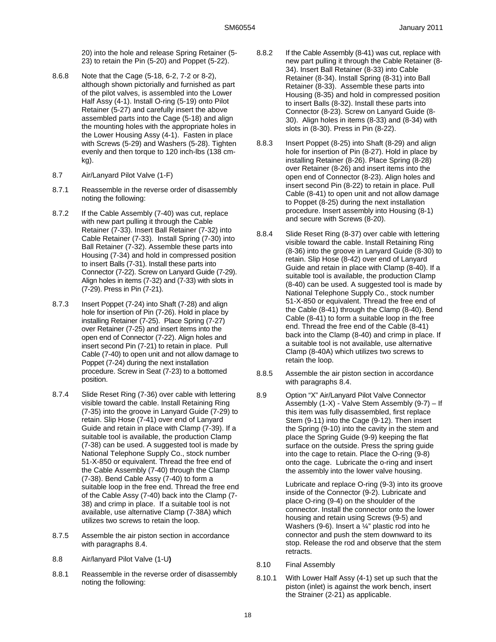20) into the hole and release Spring Retainer (5- 23) to retain the Pin (5-20) and Poppet (5-22).

- 8.6.8 Note that the Cage (5-18, 6-2, 7-2 or 8-2), although shown pictorially and furnished as part of the pilot valves, is assembled into the Lower Half Assy (4-1). Install O-ring (5-19) onto Pilot Retainer (5-27) and carefully insert the above assembled parts into the Cage (5-18) and align the mounting holes with the appropriate holes in the Lower Housing Assy (4-1). Fasten in place with Screws (5-29) and Washers (5-28). Tighten evenly and then torque to 120 inch-lbs (138 cmkg).
- 8.7 Air/Lanyard Pilot Valve (1-F)
- 8.7.1 Reassemble in the reverse order of disassembly noting the following:
- 8.7.2 If the Cable Assembly (7-40) was cut, replace with new part pulling it through the Cable Retainer (7-33). Insert Ball Retainer (7-32) into Cable Retainer (7-33). Install Spring (7-30) into Ball Retainer (7-32). Assemble these parts into Housing (7-34) and hold in compressed position to insert Balls (7-31). Install these parts into Connector (7-22). Screw on Lanyard Guide (7-29). Align holes in items (7-32) and (7-33) with slots in (7-29). Press in Pin (7-21).
- 8.7.3 Insert Poppet (7-24) into Shaft (7-28) and align hole for insertion of Pin (7-26). Hold in place by installing Retainer (7-25). Place Spring (7-27) over Retainer (7-25) and insert items into the open end of Connector (7-22). Align holes and insert second Pin (7-21) to retain in place. Pull Cable (7-40) to open unit and not allow damage to Poppet (7-24) during the next installation procedure. Screw in Seat (7-23) to a bottomed position.
- 8.7.4 Slide Reset Ring (7-36) over cable with lettering visible toward the cable. Install Retaining Ring (7-35) into the groove in Lanyard Guide (7-29) to retain. Slip Hose (7-41) over end of Lanyard Guide and retain in place with Clamp (7-39). If a suitable tool is available, the production Clamp (7-38) can be used. A suggested tool is made by National Telephone Supply Co., stock number 51-X-850 or equivalent. Thread the free end of the Cable Assembly (7-40) through the Clamp (7-38). Bend Cable Assy (7-40) to form a suitable loop in the free end. Thread the free end of the Cable Assy (7-40) back into the Clamp (7- 38) and crimp in place. If a suitable tool is not available, use alternative Clamp (7-38A) which utilizes two screws to retain the loop.
- 8.7.5 Assemble the air piston section in accordance with paragraphs 8.4.
- 8.8 Air/lanyard Pilot Valve (1-U**)**
- 8.8.1 Reassemble in the reverse order of disassembly noting the following:
- 8.8.2 If the Cable Assembly (8-41) was cut, replace with new part pulling it through the Cable Retainer (8- 34). Insert Ball Retainer (8-33) into Cable Retainer (8-34). Install Spring (8-31) into Ball Retainer (8-33). Assemble these parts into Housing (8-35) and hold in compressed position to insert Balls (8-32). Install these parts into Connector (8-23). Screw on Lanyard Guide (8- 30). Align holes in items (8-33) and (8-34) with slots in (8-30). Press in Pin (8-22).
- 8.8.3 Insert Poppet (8-25) into Shaft (8-29) and align hole for insertion of Pin (8-27). Hold in place by installing Retainer (8-26). Place Spring (8-28) over Retainer (8-26) and insert items into the open end of Connector (8-23). Align holes and insert second Pin (8-22) to retain in place. Pull Cable (8-41) to open unit and not allow damage to Poppet (8-25) during the next installation procedure. Insert assembly into Housing (8-1) and secure with Screws (8-20).
- 8.8.4 Slide Reset Ring (8-37) over cable with lettering visible toward the cable. Install Retaining Ring (8-36) into the groove in Lanyard Guide (8-30) to retain. Slip Hose (8-42) over end of Lanyard Guide and retain in place with Clamp (8-40). If a suitable tool is available, the production Clamp (8-40) can be used. A suggested tool is made by National Telephone Supply Co., stock number 51-X-850 or equivalent. Thread the free end of the Cable (8-41) through the Clamp (8-40). Bend Cable (8-41) to form a suitable loop in the free end. Thread the free end of the Cable (8-41) back into the Clamp (8-40) and crimp in place. If a suitable tool is not available, use alternative Clamp (8-40A) which utilizes two screws to retain the loop.
- 8.8.5 Assemble the air piston section in accordance with paragraphs 8.4.
- 8.9 Option "X" Air/Lanyard Pilot Valve Connector Assembly (1-X) - Valve Stem Assembly (9-7) – If this item was fully disassembled, first replace Stem (9-11) into the Cage (9-12). Then insert the Spring (9-10) into the cavity in the stem and place the Spring Guide (9-9) keeping the flat surface on the outside. Press the spring guide into the cage to retain. Place the O-ring (9-8) onto the cage. Lubricate the o-ring and insert the assembly into the lower valve housing.

Lubricate and replace O-ring (9-3) into its groove inside of the Connector (9-2). Lubricate and place O-ring (9-4) on the shoulder of the connector. Install the connector onto the lower housing and retain using Screws (9-5) and Washers (9-6). Insert a ¼" plastic rod into he connector and push the stem downward to its stop. Release the rod and observe that the stem retracts.

- 8.10 Final Assembly
- 8.10.1 With Lower Half Assy (4-1) set up such that the piston (inlet) is against the work bench, insert the Strainer (2-21) as applicable.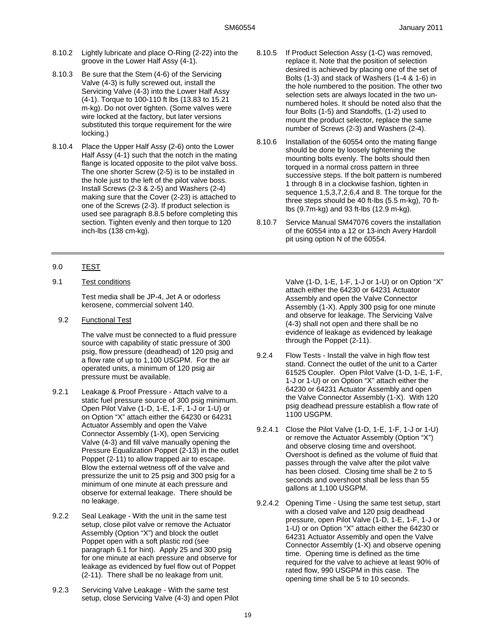- 8.10.2 Lightly lubricate and place O-Ring (2-22) into the groove in the Lower Half Assy (4-1).
- 8.10.3 Be sure that the Stem (4-6) of the Servicing Valve (4-3) is fully screwed out, install the Servicing Valve (4-3) into the Lower Half Assy (4-1). Torque to 100-110 ft lbs (13.83 to 15.21 m-kg). Do not over tighten. (Some valves were wire locked at the factory, but later versions substituted this torque requirement for the wire locking.)
- 8.10.4 Place the Upper Half Assy (2-6) onto the Lower Half Assy (4-1) such that the notch in the mating flange is located opposite to the pilot valve boss. The one shorter Screw (2-5) is to be installed in the hole just to the left of the pilot valve boss. Install Screws (2-3 & 2-5) and Washers (2-4) making sure that the Cover (2-23) is attached to one of the Screws (2-3). If product selection is used see paragraph 8.8.5 before completing this section. Tighten evenly and then torque to 120 inch-lbs (138 cm-kg).
- 8.10.5 If Product Selection Assy (1-C) was removed, replace it. Note that the position of selection desired is achieved by placing one of the set of Bolts (1-3) and stack of Washers (1-4 & 1-6) in the hole numbered to the position. The other two selection sets are always located in the two unnumbered holes. It should be noted also that the four Bolts (1-5) and Standoffs, (1-2) used to mount the product selector, replace the same number of Screws (2-3) and Washers (2-4).
- 8.10.6 Installation of the 60554 onto the mating flange should be done by loosely tightening the mounting bolts evenly. The bolts should then torqued in a normal cross pattern in three successive steps. If the bolt pattern is numbered 1 through 8 in a clockwise fashion, tighten in sequence 1,5,3,7,2,6,4 and 8. The torque for the three steps should be 40 ft-lbs (5.5 m-kg), 70 ftlbs (9.7m-kg) and 93 ft-lbs (12.9 m-kg).
- 8.10.7 Service Manual SM47076 covers the installation of the 60554 into a 12 or 13-inch Avery Hardoll pit using option N of the 60554.

### 9.0 TEST

9.1 Test conditions

Test media shall be JP-4, Jet A or odorless kerosene, commercial solvent 140.

9.2 Functional Test

The valve must be connected to a fluid pressure source with capability of static pressure of 300 psig, flow pressure (deadhead) of 120 psig and a flow rate of up to 1,100 USGPM. For the air operated units, a minimum of 120 psig air pressure must be available.

- 9.2.1 Leakage & Proof Pressure Attach valve to a static fuel pressure source of 300 psig minimum. Open Pilot Valve (1-D, 1-E, 1-F, 1-J or 1-U) or on Option "X" attach either the 64230 or 64231 Actuator Assembly and open the Valve Connector Assembly (1-X), open Servicing Valve (4-3) and fill valve manually opening the Pressure Equalization Poppet (2-13) in the outlet Poppet (2-11) to allow trapped air to escape. Blow the external wetness off of the valve and pressurize the unit to 25 psig and 300 psig for a minimum of one minute at each pressure and observe for external leakage. There should be no leakage.
- 9.2.2 Seal Leakage With the unit in the same test setup, close pilot valve or remove the Actuator Assembly (Option "X") and block the outlet Poppet open with a soft plastic rod (see paragraph 6.1 for hint). Apply 25 and 300 psig for one minute at each pressure and observe for leakage as evidenced by fuel flow out of Poppet (2-11). There shall be no leakage from unit.
- 9.2.3 Servicing Valve Leakage With the same test setup, close Servicing Valve (4-3) and open Pilot

Valve (1-D, 1-E, 1-F, 1-J or 1-U) or on Option "X" attach either the 64230 or 64231 Actuator Assembly and open the Valve Connector Assembly (1-X). Apply 300 psig for one minute and observe for leakage. The Servicing Valve (4-3) shall not open and there shall be no evidence of leakage as evidenced by leakage through the Poppet (2-11).

- 9.2.4 Flow Tests Install the valve in high flow test stand. Connect the outlet of the unit to a Carter 61525 Coupler. Open Pilot Valve (1-D, 1-E, 1-F, 1-J or 1-U) or on Option "X" attach either the 64230 or 64231 Actuator Assembly and open the Valve Connector Assembly (1-X). With 120 psig deadhead pressure establish a flow rate of 1100 USGPM.
- 9.2.4.1 Close the Pilot Valve (1-D, 1-E, 1-F, 1-J or 1-U) or remove the Actuator Assembly (Option "X") and observe closing time and overshoot. Overshoot is defined as the volume of fluid that passes through the valve after the pilot valve has been closed. Closing time shall be 2 to 5 seconds and overshoot shall be less than 55 gallons at 1,100 USGPM.
- 9.2.4.2 Opening Time Using the same test setup, start with a closed valve and 120 psig deadhead pressure, open Pilot Valve (1-D, 1-E, 1-F, 1-J or 1-U) or on Option "X" attach either the 64230 or 64231 Actuator Assembly and open the Valve Connector Assembly (1-X) and observe opening time. Opening time is defined as the time required for the valve to achieve at least 90% of rated flow, 990 USGPM in this case. The opening time shall be 5 to 10 seconds.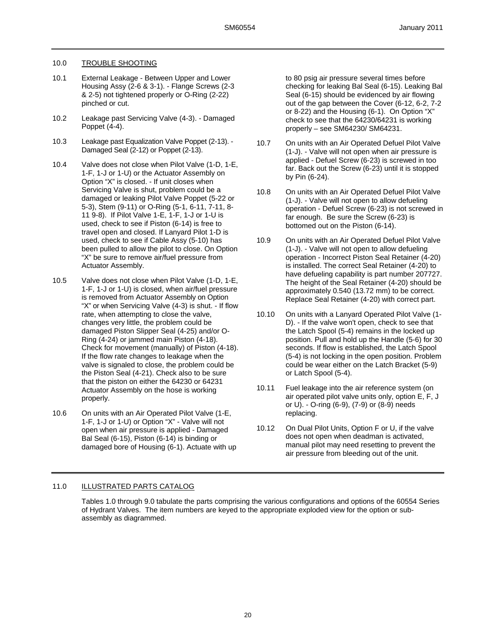### 10.0 TROUBLE SHOOTING

- 10.1 External Leakage Between Upper and Lower Housing Assy (2-6 & 3-1). - Flange Screws (2-3 & 2-5) not tightened properly or O-Ring (2-22) pinched or cut.
- 10.2 Leakage past Servicing Valve (4-3). Damaged Poppet (4-4).
- 10.3 Leakage past Equalization Valve Poppet (2-13). Damaged Seal (2-12) or Poppet (2-13).
- 10.4 Valve does not close when Pilot Valve (1-D, 1-E, 1-F, 1-J or 1-U) or the Actuator Assembly on Option "X" is closed. - If unit closes when Servicing Valve is shut, problem could be a damaged or leaking Pilot Valve Poppet (5-22 or 5-3), Stem (9-11) or O-Ring (5-1, 6-11, 7-11, 8- 11 9-8). If Pilot Valve 1-E, 1-F, 1-J or 1-U is used, check to see if Piston (6-14) is free to travel open and closed. If Lanyard Pilot 1-D is used, check to see if Cable Assy (5-10) has been pulled to allow the pilot to close. On Option "X" be sure to remove air/fuel pressure from Actuator Assembly.
- 10.5 Valve does not close when Pilot Valve (1-D, 1-E, 1-F, 1-J or 1-U) is closed, when air/fuel pressure is removed from Actuator Assembly on Option "X" or when Servicing Valve (4-3) is shut. - If flow rate, when attempting to close the valve, changes very little, the problem could be damaged Piston Slipper Seal (4-25) and/or O-Ring (4-24) or jammed main Piston (4-18). Check for movement (manually) of Piston (4-18). If the flow rate changes to leakage when the valve is signaled to close, the problem could be the Piston Seal (4-21). Check also to be sure that the piston on either the 64230 or 64231 Actuator Assembly on the hose is working properly.
- 10.6 On units with an Air Operated Pilot Valve (1-E, 1-F, 1-J or 1-U) or Option "X" - Valve will not open when air pressure is applied - Damaged Bal Seal (6-15), Piston (6-14) is binding or damaged bore of Housing (6-1). Actuate with up

to 80 psig air pressure several times before checking for leaking Bal Seal (6-15). Leaking Bal Seal (6-15) should be evidenced by air flowing out of the gap between the Cover (6-12, 6-2, 7-2 or 8-22) and the Housing (6-1). On Option "X" check to see that the 64230/64231 is working properly – see SM64230/ SM64231.

- 10.7 On units with an Air Operated Defuel Pilot Valve (1-J). - Valve will not open when air pressure is applied - Defuel Screw (6-23) is screwed in too far. Back out the Screw (6-23) until it is stopped by Pin (6-24).
- 10.8 On units with an Air Operated Defuel Pilot Valve (1-J). - Valve will not open to allow defueling operation - Defuel Screw (6-23) is not screwed in far enough. Be sure the Screw (6-23) is bottomed out on the Piston (6-14).
- 10.9 On units with an Air Operated Defuel Pilot Valve (1-J). - Valve will not open to allow defueling operation - Incorrect Piston Seal Retainer (4-20) is installed. The correct Seal Retainer (4-20) to have defueling capability is part number 207727. The height of the Seal Retainer (4-20) should be approximately 0.540 (13.72 mm) to be correct. Replace Seal Retainer (4-20) with correct part.
- 10.10 On units with a Lanyard Operated Pilot Valve (1- D). - If the valve won't open, check to see that the Latch Spool (5-4) remains in the locked up position. Pull and hold up the Handle (5-6) for 30 seconds. If flow is established, the Latch Spool (5-4) is not locking in the open position. Problem could be wear either on the Latch Bracket (5-9) or Latch Spool (5-4).
- 10.11 Fuel leakage into the air reference system (on air operated pilot valve units only, option E, F, J or U). - O-ring (6-9), (7-9) or (8-9) needs replacing.
- 10.12 On Dual Pilot Units, Option F or U, if the valve does not open when deadman is activated, manual pilot may need resetting to prevent the air pressure from bleeding out of the unit.

## 11.0 ILLUSTRATED PARTS CATALOG

Tables 1.0 through 9.0 tabulate the parts comprising the various configurations and options of the 60554 Series of Hydrant Valves. The item numbers are keyed to the appropriate exploded view for the option or subassembly as diagrammed.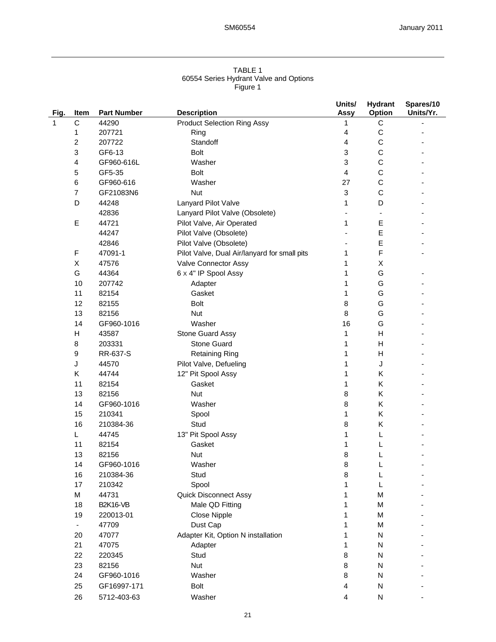#### TABLE 1 60554 Series Hydrant Valve and Options Figure 1

| Fig.         | Item         | <b>Part Number</b> | <b>Description</b>                           | Units/<br>Assy            | <b>Hydrant</b><br>Option | Spares/10<br>Units/Yr. |
|--------------|--------------|--------------------|----------------------------------------------|---------------------------|--------------------------|------------------------|
| $\mathbf{1}$ | $\mathsf C$  | 44290              | <b>Product Selection Ring Assy</b>           | 1                         | $\mathsf C$              |                        |
|              | 1            | 207721             | Ring                                         | 4                         | C                        |                        |
|              | 2            | 207722             | Standoff                                     | 4                         | C                        |                        |
|              | 3            | GF6-13             | Bolt                                         | $\ensuremath{\mathsf{3}}$ | C                        |                        |
|              | 4            | GF960-616L         | Washer                                       | 3                         | C                        |                        |
|              | 5            | GF5-35             | Bolt                                         | 4                         | C                        |                        |
|              | 6            | GF960-616          | Washer                                       | 27                        | C                        |                        |
|              | 7            | GF21083N6          | <b>Nut</b>                                   | 3                         | C                        |                        |
|              | D            | 44248              | Lanyard Pilot Valve                          | 1                         | D                        |                        |
|              |              | 42836              | Lanyard Pilot Valve (Obsolete)               |                           |                          |                        |
|              | Е            | 44721              | Pilot Valve, Air Operated                    | 1                         | Е                        |                        |
|              |              | 44247              | Pilot Valve (Obsolete)                       |                           | E                        |                        |
|              |              | 42846              | Pilot Valve (Obsolete)                       |                           | E                        |                        |
|              | $\mathsf F$  | 47091-1            | Pilot Valve, Dual Air/lanyard for small pits | 1                         | F                        |                        |
|              |              |                    |                                              |                           |                          |                        |
|              | Χ            | 47576              | Valve Connector Assy                         | 1                         | X                        |                        |
|              | G            | 44364              | 6 x 4" IP Spool Assy                         | 1                         | G                        |                        |
|              | 10           | 207742             | Adapter                                      | 1                         | G                        |                        |
|              | 11           | 82154              | Gasket                                       | 1                         | G                        |                        |
|              | 12           | 82155              | Bolt                                         | 8                         | G                        |                        |
|              | 13           | 82156              | <b>Nut</b>                                   | 8                         | G                        |                        |
|              | 14           | GF960-1016         | Washer                                       | 16                        | G                        |                        |
|              | $\mathsf{H}$ | 43587              | Stone Guard Assy                             | 1                         | H                        |                        |
|              | 8            | 203331             | <b>Stone Guard</b>                           | 1                         | H                        |                        |
|              | 9            | RR-637-S           | <b>Retaining Ring</b>                        | 1                         | H                        |                        |
|              | J            | 44570              | Pilot Valve, Defueling                       | 1                         | J                        |                        |
|              | Κ            | 44744              | 12" Pit Spool Assy                           | 1                         | Κ                        |                        |
|              | 11           | 82154              | Gasket                                       | 1                         | Κ                        |                        |
|              | 13           | 82156              | <b>Nut</b>                                   | $\bf8$                    | Κ                        |                        |
|              | 14           | GF960-1016         | Washer                                       | 8                         | Κ                        |                        |
|              | 15           | 210341             | Spool                                        | 1                         | Κ                        |                        |
|              | 16           | 210384-36          | Stud                                         | 8                         | Κ                        |                        |
|              | L            | 44745              | 13" Pit Spool Assy                           | 1                         | L                        |                        |
|              | 11           | 82154              | Gasket                                       | 1                         |                          |                        |
|              | 13           | 82156              | <b>Nut</b>                                   | 8                         |                          |                        |
|              | 14           | GF960-1016         | Washer                                       | 8                         |                          |                        |
|              | 16           | 210384-36          | Stud                                         | 8                         | L                        |                        |
|              | 17           | 210342             | Spool                                        | 1                         | L                        |                        |
|              | M            | 44731              | <b>Quick Disconnect Assy</b>                 | 1                         | M                        |                        |
|              | 18           | <b>B2K16-VB</b>    | Male QD Fitting                              | 1                         | M                        |                        |
|              | 19           | 220013-01          | Close Nipple                                 | 1                         | M                        |                        |
|              |              | 47709              | Dust Cap                                     | 1                         | M                        |                        |
|              | 20           | 47077              | Adapter Kit, Option N installation           | 1                         | N                        |                        |
|              | 21           | 47075              | Adapter                                      | 1                         | N                        |                        |
|              | 22           | 220345             | Stud                                         | 8                         | N                        |                        |
|              | 23           | 82156              | Nut                                          | 8                         | N                        |                        |
|              | 24           | GF960-1016         | Washer                                       | $\bf8$                    | N                        |                        |
|              | 25           | GF16997-171        | Bolt                                         | 4                         | N                        |                        |
|              | 26           | 5712-403-63        | Washer                                       | 4                         | N                        |                        |
|              |              |                    |                                              |                           |                          |                        |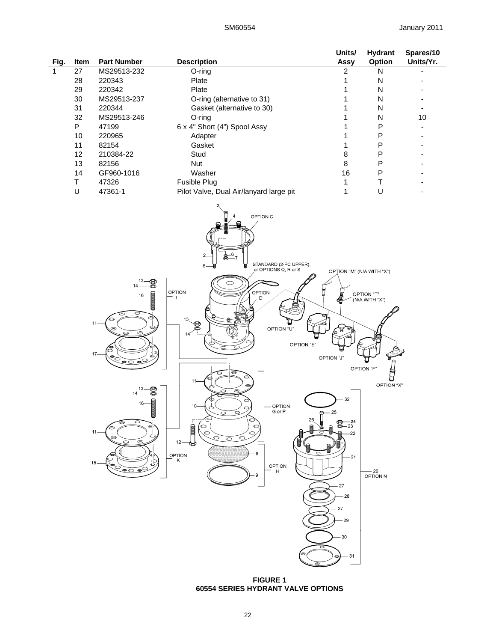|      |             |                    |                                         | Units/ | <b>Hydrant</b> | Spares/10 |
|------|-------------|--------------------|-----------------------------------------|--------|----------------|-----------|
| Fig. | <b>Item</b> | <b>Part Number</b> | <b>Description</b>                      | Assy   | <b>Option</b>  | Units/Yr. |
|      | 27          | MS29513-232        | O-ring                                  |        | N              |           |
|      | 28          | 220343             | Plate                                   |        | N              |           |
|      | 29          | 220342             | Plate                                   |        | Ν              |           |
|      | 30          | MS29513-237        | O-ring (alternative to 31)              |        | N              |           |
|      | 31          | 220344             | Gasket (alternative to 30)              |        | N              |           |
|      | 32          | MS29513-246        | O-ring                                  |        | Ν              | 10        |
|      | Р           | 47199              | 6 x 4" Short (4") Spool Assy            |        | Р              |           |
|      | 10          | 220965             | Adapter                                 |        | P              |           |
|      | 11          | 82154              | Gasket                                  |        | P              |           |
|      | 12          | 210384-22          | Stud                                    | 8      | Р              |           |
|      | 13          | 82156              | <b>Nut</b>                              | 8      | P              |           |
|      | 14          | GF960-1016         | Washer                                  | 16     | P              |           |
|      |             | 47326              | <b>Fusible Plug</b>                     |        |                |           |
|      |             | 47361-1            | Pilot Valve, Dual Air/lanyard large pit |        | U              |           |



**FIGURE 1 60554 SERIES HYDRANT VALVE OPTIONS**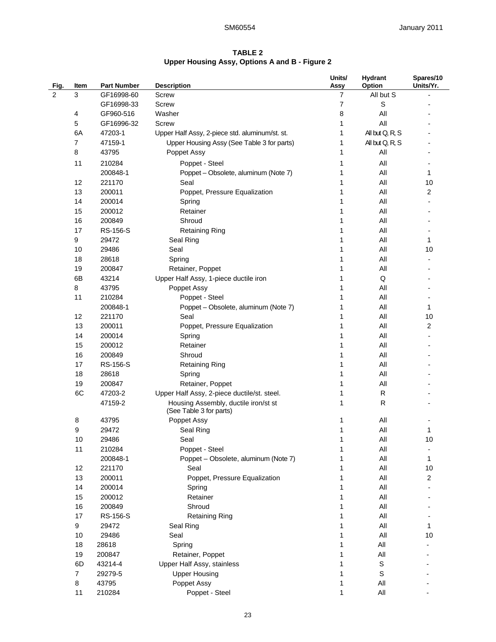## **TABLE 2 Upper Housing Assy, Options A and B - Figure 2**

| Fig. | Item                 | <b>Part Number</b> | <b>Description</b>                                              | Units/<br>Assy | <b>Hydrant</b><br>Option | Spares/10<br>Units/Yr. |
|------|----------------------|--------------------|-----------------------------------------------------------------|----------------|--------------------------|------------------------|
| 2    | 3                    | GF16998-60         | <b>Screw</b>                                                    | 7              | All but S                |                        |
|      |                      | GF16998-33         | <b>Screw</b>                                                    | 7              | S                        |                        |
|      | 4                    | GF960-516          | Washer                                                          | 8              | All                      |                        |
|      | 5                    | GF16996-32         | <b>Screw</b>                                                    | 1              | All                      |                        |
|      | 6A                   | 47203-1            | Upper Half Assy, 2-piece std. aluminum/st. st.                  | 1              | All but Q, R, S          |                        |
|      | 7                    | 47159-1            | Upper Housing Assy (See Table 3 for parts)                      | 1              | All but Q, R, S          |                        |
|      | 8                    | 43795              | Poppet Assy                                                     | 1              | All                      |                        |
|      | 11                   | 210284             | Poppet - Steel                                                  | 1              | All                      |                        |
|      |                      | 200848-1           | Poppet - Obsolete, aluminum (Note 7)                            | 1              | All                      | 1                      |
|      | 12                   | 221170             | Seal                                                            | 1              | All                      | 10                     |
|      | 13                   | 200011             | Poppet, Pressure Equalization                                   | 1              | All                      | 2                      |
|      | 14                   | 200014             | Spring                                                          | 1              | All                      |                        |
|      | 15                   | 200012             | Retainer                                                        | 1              | All                      |                        |
|      | 16                   | 200849             | Shroud                                                          | 1              | All                      |                        |
|      | 17                   | <b>RS-156-S</b>    | <b>Retaining Ring</b>                                           | 1              | All                      |                        |
|      | 9                    | 29472              | Seal Ring                                                       | 1              | All                      | 1                      |
|      | 10                   | 29486              | Seal                                                            | 1              | All                      | 10                     |
|      | 18                   | 28618              | Spring                                                          | 1              | All                      |                        |
|      | 19                   | 200847             | Retainer, Poppet                                                | 1              | All                      |                        |
|      | 6B                   | 43214              | Upper Half Assy, 1-piece ductile iron                           |                | Q                        |                        |
|      | 8                    | 43795              | Poppet Assy                                                     | 1              | All                      |                        |
|      | 11                   | 210284             | Poppet - Steel                                                  | 1              | All                      |                        |
|      |                      | 200848-1           | Poppet - Obsolete, aluminum (Note 7)                            | 1              | All                      | 1                      |
|      | 12                   | 221170             | Seal                                                            | 1              | All                      | 10                     |
|      | 13                   | 200011             | Poppet, Pressure Equalization                                   | 1              | All                      | 2                      |
|      | 14                   | 200014             | Spring                                                          | 1              | All                      |                        |
|      | 15                   | 200012             | Retainer                                                        | 1              | All                      |                        |
|      | 16                   | 200849             | Shroud                                                          | 1              | All                      |                        |
|      | 17                   | <b>RS-156-S</b>    | <b>Retaining Ring</b>                                           | 1              | All                      |                        |
|      | 18                   | 28618              | Spring                                                          | 1              | All                      |                        |
|      | 19                   | 200847             | Retainer, Poppet                                                | 1              | All                      |                        |
|      | 6C                   | 47203-2            | Upper Half Assy, 2-piece ductile/st. steel.                     | 1              | R                        |                        |
|      |                      | 47159-2            | Housing Assembly, ductile iron/st st<br>(See Table 3 for parts) | 1              | R                        |                        |
|      | 8                    | 43795              | Poppet Assy                                                     | 1              | All                      |                        |
|      | 9                    | 29472              | Seal Ring                                                       | $\mathbf 1$    | All                      | 1                      |
|      | 10                   | 29486              | Seal                                                            | 1              | $\mathsf{All}$           | 10                     |
|      | 11                   | 210284             | Poppet - Steel                                                  | 1              | All                      |                        |
|      |                      | 200848-1           | Poppet - Obsolete, aluminum (Note 7)                            |                | All                      | 1                      |
|      | 12                   | 221170             | Seal                                                            |                | All                      | 10                     |
|      | 13                   | 200011             | Poppet, Pressure Equalization                                   |                | All                      | 2                      |
|      | 14                   | 200014             | Spring                                                          |                | All                      |                        |
|      | 15                   | 200012             | Retainer                                                        | 1              | All                      |                        |
|      | 16                   | 200849             | Shroud                                                          | 1              | All                      |                        |
|      | 17                   | RS-156-S           | <b>Retaining Ring</b>                                           | 1              | All                      |                        |
|      | 9                    | 29472              | Seal Ring                                                       | 1              | All                      | 1                      |
|      | 10                   | 29486              | Seal                                                            | 1              | All                      | 10                     |
|      | 18                   | 28618              | Spring                                                          | 1              | All                      |                        |
|      | 19                   | 200847             | Retainer, Poppet                                                | 1              | All                      |                        |
|      | 6D<br>$\overline{7}$ | 43214-4            | Upper Half Assy, stainless<br><b>Upper Housing</b>              | 1              | S                        |                        |
|      | 8                    | 29279-5<br>43795   | Poppet Assy                                                     | 1              | S<br>All                 |                        |
|      | 11                   | 210284             | Poppet - Steel                                                  | 1              | All                      |                        |
|      |                      |                    |                                                                 |                |                          |                        |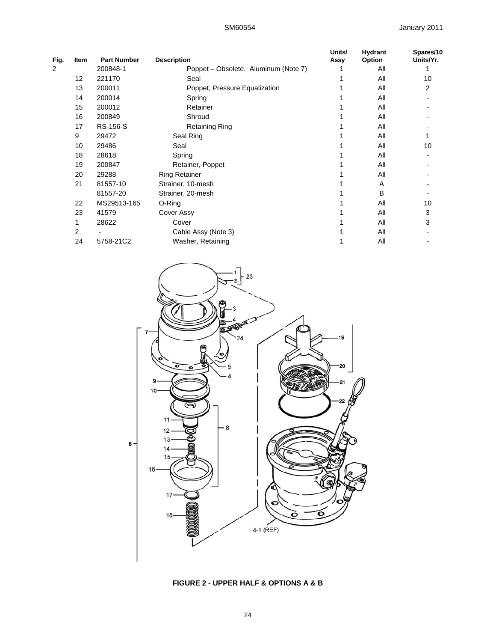| Fig. | Item | <b>Part Number</b> | <b>Description</b>                   | Units/<br>Assy | <b>Hydrant</b><br>Option | Spares/10<br>Units/Yr. |
|------|------|--------------------|--------------------------------------|----------------|--------------------------|------------------------|
| 2    |      | 200848-1           | Poppet - Obsolete. Aluminum (Note 7) |                | All                      |                        |
|      | 12   | 221170             | Seal                                 |                | All                      | 10                     |
|      | 13   | 200011             | Poppet, Pressure Equalization        |                | All                      | 2                      |
|      | 14   | 200014             | Spring                               |                | All                      |                        |
|      | 15   | 200012             | Retainer                             |                | All                      |                        |
|      | 16   | 200849             | Shroud                               |                | All                      |                        |
|      | 17   | RS-156-S           | <b>Retaining Ring</b>                |                | All                      |                        |
|      | 9    | 29472              | Seal Ring                            |                | All                      |                        |
|      | 10   | 29486              | Seal                                 |                | All                      | 10                     |
|      | 18   | 28618              | Spring                               |                | All                      |                        |
|      | 19   | 200847             | Retainer, Poppet                     |                | All                      |                        |
|      | 20   | 29288              | <b>Ring Retainer</b>                 |                | All                      |                        |
|      | 21   | 81557-10           | Strainer, 10-mesh                    |                | A                        |                        |
|      |      | 81557-20           | Strainer, 20-mesh                    |                | B                        |                        |
|      | 22   | MS29513-165        | O-Ring                               |                | All                      | 10                     |
|      | 23   | 41579              | Cover Assy                           |                | All                      | 3                      |
|      |      | 28622              | Cover                                |                | All                      | 3                      |
|      | 2    |                    | Cable Assy (Note 3)                  |                | All                      |                        |
|      | 24   | 5758-21C2          | Washer, Retaining                    |                | All                      |                        |



**FIGURE 2 - UPPER HALF & OPTIONS A & B**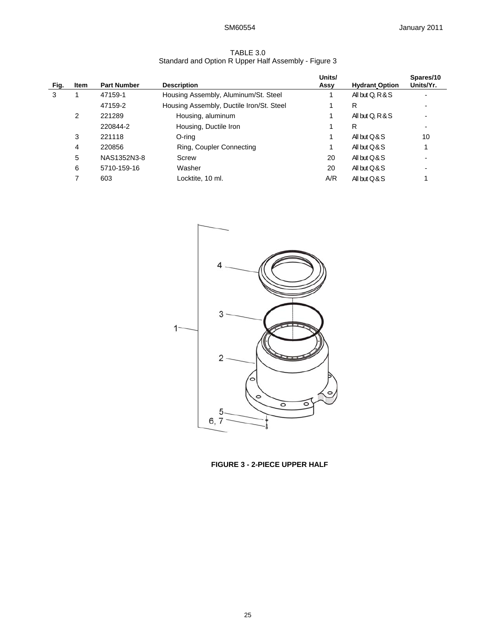| TABLE 3.0                                            |
|------------------------------------------------------|
| Standard and Option R Upper Half Assembly - Figure 3 |

| Fig. | Item | <b>Part Number</b> | <b>Description</b>                       | Units/<br>Assy | <b>Hydrant Option</b> | Spares/10<br>Units/Yr. |
|------|------|--------------------|------------------------------------------|----------------|-----------------------|------------------------|
| 3    |      | 47159-1            | Housing Assembly, Aluminum/St. Steel     |                | All but Q, R & S      |                        |
|      |      | 47159-2            | Housing Assembly, Ductile Iron/St. Steel |                | R                     |                        |
|      | 2    | 221289             | Housing, aluminum                        |                | All but Q, R & S      |                        |
|      |      | 220844-2           | Housing, Ductile Iron                    |                | R                     |                        |
|      | 3    | 221118             | O-rina                                   |                | All but $O & S$       | 10                     |
|      | 4    | 220856             | Ring, Coupler Connecting                 |                | All but $O & S$       |                        |
|      | 5    | NAS1352N3-8        | Screw                                    | 20             | All but $Q & S$       |                        |
|      | 6    | 5710-159-16        | Washer                                   | 20             | All but $O & S$       |                        |
|      |      | 603                | Locktite, 10 ml.                         | A/R            | All but $O & S$       |                        |



**FIGURE 3 - 2-PIECE UPPER HALF**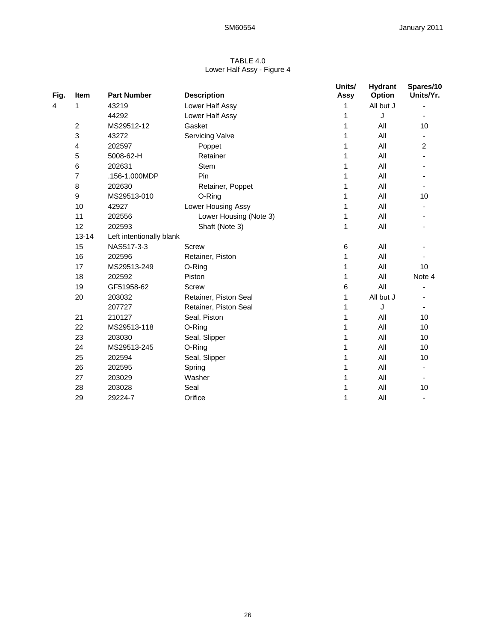| TABLE 4.0                  |
|----------------------------|
| Lower Half Assy - Figure 4 |

| Fig. | <b>Item</b>    | <b>Part Number</b>       | <b>Description</b>     | Units/<br>Assy | <b>Hydrant</b><br>Option | Spares/10<br>Units/Yr.   |
|------|----------------|--------------------------|------------------------|----------------|--------------------------|--------------------------|
| 4    | 1              | 43219                    | Lower Half Assy        | 1              | All but J                |                          |
|      |                | 44292                    | Lower Half Assy        | 1              | J                        |                          |
|      | $\overline{c}$ | MS29512-12               | Gasket                 | 1              | All                      | 10                       |
|      | 3              | 43272                    | <b>Servicing Valve</b> | 1              | All                      |                          |
|      | 4              | 202597                   | Poppet                 | 1              | All                      | 2                        |
|      | 5              | 5008-62-H                | Retainer               | 1              | All                      |                          |
|      | 6              | 202631                   | Stem                   | 1              | All                      |                          |
|      | 7              | .156-1.000MDP            | Pin                    | 1              | All                      |                          |
|      | 8              | 202630                   | Retainer, Poppet       | 1              | All                      |                          |
|      | 9              | MS29513-010              | O-Ring                 | 1              | All                      | 10                       |
|      | 10             | 42927                    | Lower Housing Assy     | 1              | All                      |                          |
|      | 11             | 202556                   | Lower Housing (Note 3) | 1              | All                      |                          |
|      | 12             | 202593                   | Shaft (Note 3)         | 1              | All                      |                          |
|      | $13 - 14$      | Left intentionally blank |                        |                |                          |                          |
|      | 15             | NAS517-3-3               | <b>Screw</b>           | 6              | All                      |                          |
|      | 16             | 202596                   | Retainer, Piston       | 1              | All                      |                          |
|      | 17             | MS29513-249              | O-Ring                 | 1              | All                      | 10                       |
|      | 18             | 202592                   | Piston                 | 1              | All                      | Note 4                   |
|      | 19             | GF51958-62               | <b>Screw</b>           | 6              | All                      |                          |
|      | 20             | 203032                   | Retainer, Piston Seal  | 1              | All but J                |                          |
|      |                | 207727                   | Retainer, Piston Seal  | 1              | J                        |                          |
|      | 21             | 210127                   | Seal, Piston           | 1              | All                      | 10                       |
|      | 22             | MS29513-118              | O-Ring                 | 1              | All                      | 10                       |
|      | 23             | 203030                   | Seal, Slipper          | 1              | All                      | 10                       |
|      | 24             | MS29513-245              | O-Ring                 | 1              | All                      | 10                       |
|      | 25             | 202594                   | Seal, Slipper          | 1              | All                      | 10                       |
|      | 26             | 202595                   | Spring                 | 1              | All                      |                          |
|      | 27             | 203029                   | Washer                 | 1              | All                      |                          |
|      | 28             | 203028                   | Seal                   | 1              | All                      | 10                       |
|      | 29             | 29224-7                  | Orifice                | 1              | All                      | $\overline{\phantom{a}}$ |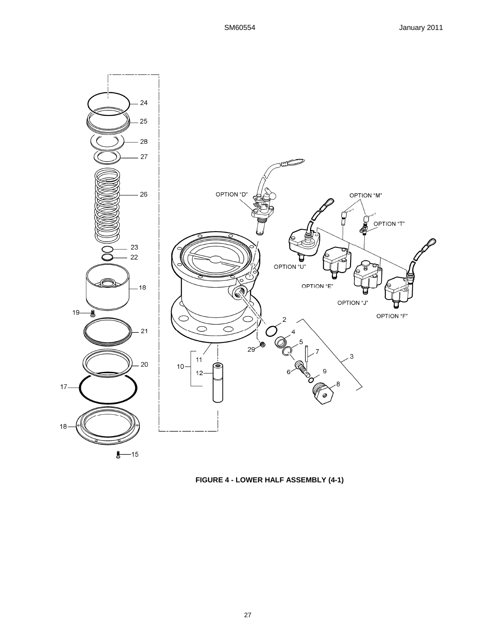

**FIGURE 4 - LOWER HALF ASSEMBLY (4-1)**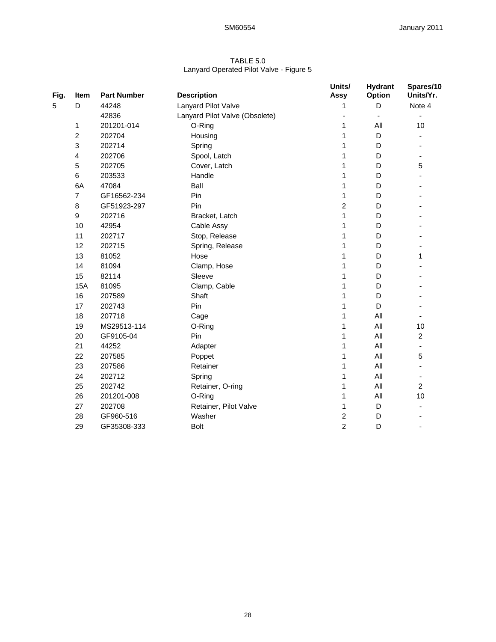| TABLE 5.0                               |
|-----------------------------------------|
| Lanyard Operated Pilot Valve - Figure 5 |

| Fig. | Item           | <b>Part Number</b> | <b>Description</b>             | Units/<br><b>Assy</b> | <b>Hydrant</b><br>Option | Spares/10<br>Units/Yr.   |
|------|----------------|--------------------|--------------------------------|-----------------------|--------------------------|--------------------------|
| 5    | D              | 44248              | Lanyard Pilot Valve            | 1                     | D                        | Note 4                   |
|      |                | 42836              | Lanyard Pilot Valve (Obsolete) |                       |                          |                          |
|      | 1              | 201201-014         | O-Ring                         |                       | All                      | 10                       |
|      | 2              | 202704             | Housing                        |                       | D                        |                          |
|      | 3              | 202714             | Spring                         |                       | D                        |                          |
|      | 4              | 202706             | Spool, Latch                   |                       | D                        |                          |
|      | 5              | 202705             | Cover, Latch                   |                       | D                        | 5                        |
|      | 6              | 203533             | Handle                         |                       | D                        |                          |
|      | 6A             | 47084              | Ball                           |                       | D                        |                          |
|      | $\overline{7}$ | GF16562-234        | Pin                            | 1                     | D                        |                          |
|      | 8              | GF51923-297        | Pin                            | $\overline{c}$        | D                        |                          |
|      | 9              | 202716             | Bracket, Latch                 | 1                     | D                        |                          |
|      | 10             | 42954              | Cable Assy                     | 1                     | D                        |                          |
|      | 11             | 202717             | Stop, Release                  |                       | D                        |                          |
|      | 12             | 202715             | Spring, Release                |                       | D                        |                          |
|      | 13             | 81052              | Hose                           |                       | D                        | 1                        |
|      | 14             | 81094              | Clamp, Hose                    |                       | D                        |                          |
|      | 15             | 82114              | Sleeve                         |                       | D                        |                          |
|      | <b>15A</b>     | 81095              | Clamp, Cable                   |                       | D                        |                          |
|      | 16             | 207589             | Shaft                          |                       | D                        |                          |
|      | 17             | 202743             | Pin                            |                       | D                        |                          |
|      | 18             | 207718             | Cage                           |                       | All                      |                          |
|      | 19             | MS29513-114        | O-Ring                         | 1                     | All                      | 10                       |
|      | 20             | GF9105-04          | Pin                            | 1                     | All                      | $\overline{c}$           |
|      | 21             | 44252              | Adapter                        | 1                     | All                      | $\overline{\phantom{a}}$ |
|      | 22             | 207585             | Poppet                         | 1                     | All                      | 5                        |
|      | 23             | 207586             | Retainer                       |                       | All                      |                          |
|      | 24             | 202712             | Spring                         |                       | All                      |                          |
|      | 25             | 202742             | Retainer, O-ring               | 1                     | All                      | $\overline{c}$           |
|      | 26             | 201201-008         | O-Ring                         | 1                     | All                      | 10                       |
|      | 27             | 202708             | Retainer, Pilot Valve          | 1                     | D                        |                          |
|      | 28             | GF960-516          | Washer                         | $\overline{c}$        | D                        |                          |
|      | 29             | GF35308-333        | <b>Bolt</b>                    | $\overline{c}$        | D                        |                          |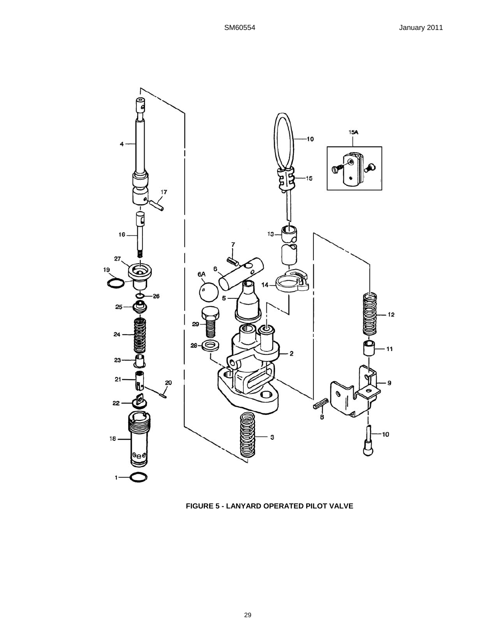

**FIGURE 5 - LANYARD OPERATED PILOT VALVE**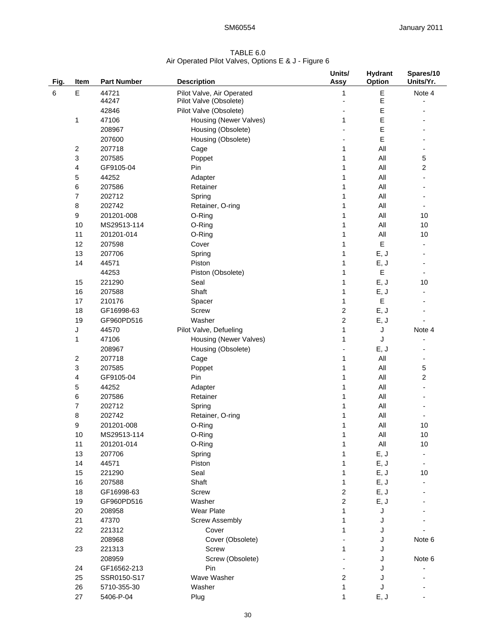## TABLE 6.0 Air Operated Pilot Valves, Options E & J - Figure 6

| Fig. | Item           | <b>Part Number</b> | <b>Description</b>        | Units/<br>Assy   | <b>Hydrant</b><br>Option | Spares/10<br>Units/Yr.   |
|------|----------------|--------------------|---------------------------|------------------|--------------------------|--------------------------|
|      |                |                    |                           |                  |                          |                          |
| 6    | E              | 44721              | Pilot Valve, Air Operated | 1                | $\mathsf E$              | Note 4                   |
|      |                | 44247              | Pilot Valve (Obsolete)    |                  | $\mathsf E$<br>E         |                          |
|      |                | 42846<br>47106     | Pilot Valve (Obsolete)    |                  | Ε                        |                          |
|      | 1              | 208967             | Housing (Newer Valves)    | 1                |                          |                          |
|      |                |                    | Housing (Obsolete)        |                  | Ε                        |                          |
|      |                | 207600             | Housing (Obsolete)        |                  | E                        |                          |
|      | 2              | 207718             | Cage                      | 1                | All                      |                          |
|      | 3              | 207585             | Poppet                    | 1                | All                      | 5                        |
|      | 4              | GF9105-04          | Pin                       | 1                | All                      | $\overline{2}$           |
|      | 5              | 44252              | Adapter                   | 1                | All                      |                          |
|      | 6              | 207586             | Retainer                  | 1                | All                      |                          |
|      | $\overline{7}$ | 202712             | Spring                    | 1                | All                      |                          |
|      | 8              | 202742             | Retainer, O-ring          | 1                | All                      |                          |
|      | 9              | 201201-008         | O-Ring                    | 1                | All                      | 10                       |
|      | 10             | MS29513-114        | O-Ring                    | 1                | All                      | 10                       |
|      | 11             | 201201-014         | O-Ring                    | 1                | All                      | 10                       |
|      | 12             | 207598             | Cover                     | 1                | E                        |                          |
|      | 13             | 207706             | Spring                    | 1                | E, J                     |                          |
|      | 14             | 44571              | Piston                    | 1                | E, J                     |                          |
|      |                | 44253              | Piston (Obsolete)         | 1                | E                        | $\overline{\phantom{0}}$ |
|      | 15             | 221290             | Seal                      | 1                | E, J                     | 10                       |
|      | 16             | 207588             | Shaft                     | 1                | E, J                     |                          |
|      | 17             | 210176             | Spacer                    | 1                | Е                        |                          |
|      | 18             | GF16998-63         | <b>Screw</b>              | $\boldsymbol{2}$ | E, J                     |                          |
|      | 19             | GF960PD516         | Washer                    | $\mathbf 2$      | E, J                     |                          |
|      | J              | 44570              | Pilot Valve, Defueling    | 1                | J                        | Note 4                   |
|      | 1              | 47106              | Housing (Newer Valves)    | 1                | J                        |                          |
|      |                | 208967             | Housing (Obsolete)        |                  | E, J                     |                          |
|      | 2              | 207718             | Cage                      | 1                | All                      |                          |
|      | 3              | 207585             | Poppet                    | 1                | All                      | 5                        |
|      | 4              | GF9105-04          | Pin                       | 1                | All                      | 2                        |
|      | 5              | 44252              | Adapter                   | 1                | All                      |                          |
|      | 6              | 207586             | Retainer                  |                  | All                      |                          |
|      | $\overline{7}$ | 202712             | Spring                    |                  | All                      |                          |
|      | 8              | 202742             | Retainer, O-ring          |                  | All                      |                          |
|      | 9              | 201201-008         | O-Ring                    | 1                | All                      | 10                       |
|      | 10             | MS29513-114        | O-Ring                    | 1                | $\mathsf{All}$           | $10$                     |
|      | 11             | 201201-014         | O-Ring                    | 1                | All                      | 10                       |
|      | 13             | 207706             | Spring                    |                  | E, J                     |                          |
|      | 14             | 44571              | Piston                    |                  | E, J                     |                          |
|      | 15             | 221290             | Seal                      |                  | E, J                     | 10                       |
|      | 16             | 207588             | Shaft                     | 1                | E, J                     |                          |
|      | 18             | GF16998-63         | <b>Screw</b>              | $\overline{2}$   | E, J                     |                          |
|      | 19             | GF960PD516         | Washer                    | $\overline{2}$   | E, J                     |                          |
|      | 20             | 208958             | <b>Wear Plate</b>         | 1                | J                        |                          |
|      | 21             | 47370              | <b>Screw Assembly</b>     | 1                | J                        |                          |
|      | 22             | 221312             | Cover                     | 1                | J                        |                          |
|      |                | 208968             | Cover (Obsolete)          |                  | J                        | Note 6                   |
|      | 23             | 221313             | <b>Screw</b>              | 1                | J                        |                          |
|      |                | 208959             | Screw (Obsolete)          |                  | J                        | Note 6                   |
|      | 24             | GF16562-213        | Pin                       |                  | J                        |                          |
|      | 25             | SSR0150-S17        | Wave Washer               | $\boldsymbol{2}$ |                          |                          |
|      | 26             |                    | Washer                    |                  | J                        |                          |
|      |                | 5710-355-30        |                           | 1<br>1           | J                        |                          |
|      | 27             | 5406-P-04          | Plug                      |                  | E, J                     |                          |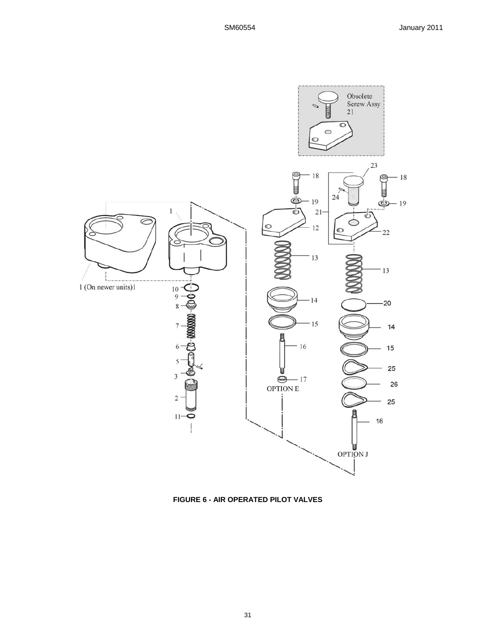

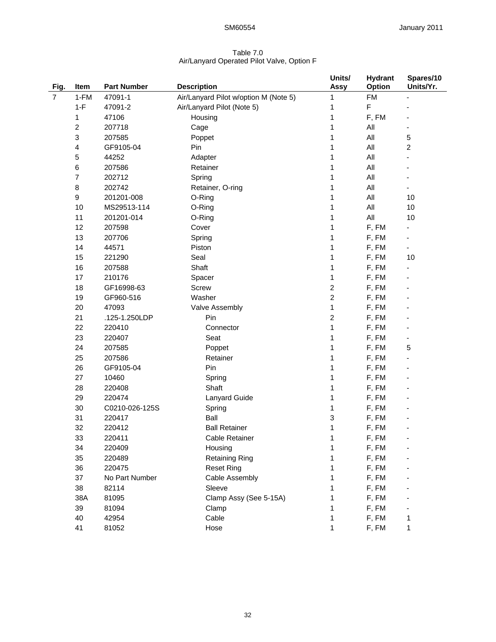## Table 7.0 Air/Lanyard Operated Pilot Valve, Option F

| Fig.           | Item  | <b>Part Number</b> | <b>Description</b>                    | Units/<br><b>Assy</b> | <b>Hydrant</b><br><b>Option</b> | Spares/10<br>Units/Yr. |
|----------------|-------|--------------------|---------------------------------------|-----------------------|---------------------------------|------------------------|
| $\overline{7}$ | 1-FM  | 47091-1            | Air/Lanyard Pilot w/option M (Note 5) | 1                     | <b>FM</b>                       |                        |
|                | $1-F$ | 47091-2            | Air/Lanyard Pilot (Note 5)            | 1                     | F                               |                        |
|                | 1     | 47106              | Housing                               | 1                     | F, FM                           |                        |
|                | 2     | 207718             | Cage                                  | 1                     | All                             |                        |
|                | 3     | 207585             | Poppet                                | 1                     | All                             | 5                      |
|                | 4     | GF9105-04          | Pin                                   | 1                     | All                             | 2                      |
|                | 5     | 44252              | Adapter                               | 1                     | All                             |                        |
|                | 6     | 207586             | Retainer                              | 1                     | All                             |                        |
|                | 7     | 202712             | Spring                                | 1                     | All                             |                        |
|                | 8     | 202742             | Retainer, O-ring                      | 1                     | All                             |                        |
|                | 9     | 201201-008         | O-Ring                                | 1                     | All                             | 10                     |
|                | 10    | MS29513-114        | O-Ring                                | 1                     | All                             | 10                     |
|                | 11    | 201201-014         | O-Ring                                | 1                     | All                             | 10                     |
|                | 12    | 207598             | Cover                                 | 1                     | F, FM                           |                        |
|                | 13    | 207706             | Spring                                | 1                     | F, FM                           |                        |
|                | 14    | 44571              | Piston                                | 1                     | F, FM                           | $\blacksquare$         |
|                | 15    | 221290             | Seal                                  | 1                     | F, FM                           | 10                     |
|                | 16    | 207588             | Shaft                                 | 1                     | F, FM                           |                        |
|                | 17    | 210176             | Spacer                                | 1                     | F, FM                           |                        |
|                | 18    | GF16998-63         | Screw                                 | 2                     | F, FM                           |                        |
|                | 19    | GF960-516          | Washer                                | 2                     | F, FM                           |                        |
|                | 20    | 47093              | Valve Assembly                        | 1                     | F, FM                           |                        |
|                | 21    | .125-1.250LDP      | Pin                                   | 2                     | F, FM                           |                        |
|                | 22    | 220410             | Connector                             | 1                     | F, FM                           |                        |
|                | 23    | 220407             | Seat                                  | 1                     | F, FM                           |                        |
|                | 24    | 207585             | Poppet                                | 1                     | F, FM                           | 5                      |
|                | 25    | 207586             | Retainer                              | 1                     | F, FM                           |                        |
|                | 26    | GF9105-04          | Pin                                   | 1                     | F, FM                           |                        |
|                | 27    | 10460              | Spring                                | 1                     | F, FM                           |                        |
|                | 28    | 220408             | Shaft                                 | 1                     | F, FM                           |                        |
|                | 29    | 220474             | <b>Lanyard Guide</b>                  | 1                     | F, FM                           |                        |
|                | 30    | C0210-026-125S     | Spring                                | 1                     | F, FM                           |                        |
|                | 31    | 220417             | Ball                                  | 3                     | F, FM                           |                        |
|                | 32    | 220412             | <b>Ball Retainer</b>                  | 1                     | F, FM                           |                        |
|                | 33    | 220411             | Cable Retainer                        | 1                     | F, FM                           |                        |
|                | 34    | 220409             | Housing                               | 1                     | F, FM                           |                        |
|                | 35    | 220489             | <b>Retaining Ring</b>                 | 1                     | F, FM                           |                        |
|                | 36    | 220475             | <b>Reset Ring</b>                     | 1                     | F, FM                           |                        |
|                | 37    | No Part Number     | Cable Assembly                        | 1                     | F, FM                           |                        |
|                | 38    | 82114              | Sleeve                                | 1                     | F, FM                           |                        |
|                | 38A   | 81095              | Clamp Assy (See 5-15A)                | 1                     | F, FM                           |                        |
|                | 39    | 81094              | Clamp                                 | 1                     | F, FM                           |                        |
|                | 40    | 42954              | Cable                                 | 1                     | F, FM                           | 1                      |
|                | 41    | 81052              | Hose                                  | 1                     | F, FM                           | 1                      |
|                |       |                    |                                       |                       |                                 |                        |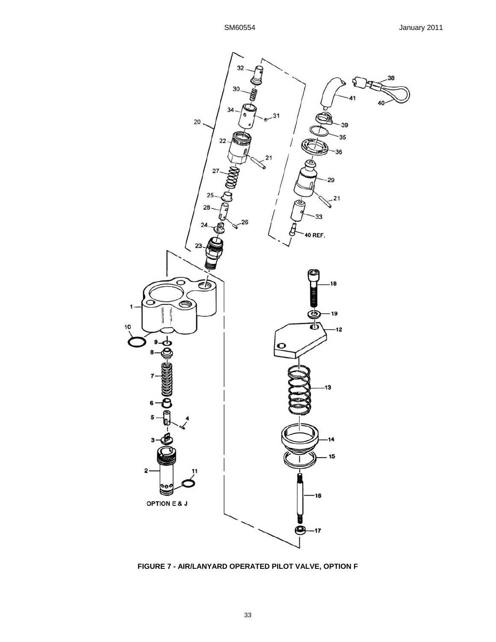

**FIGURE 7 - AIR/LANYARD OPERATED PILOT VALVE, OPTION F**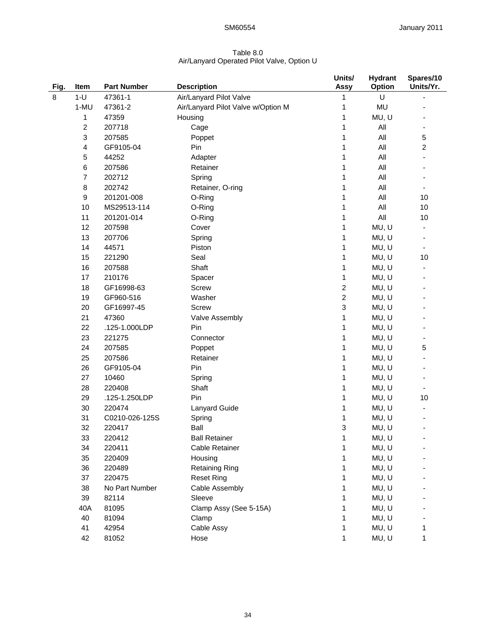## Table 8.0 Air/Lanyard Operated Pilot Valve, Option U

|      |                |                    |                                    | Units/                    | <b>Hydrant</b> | Spares/10      |
|------|----------------|--------------------|------------------------------------|---------------------------|----------------|----------------|
| Fig. | Item           | <b>Part Number</b> | <b>Description</b>                 | Assy                      | Option         | Units/Yr.      |
| 8    | $1-U$          | 47361-1            | Air/Lanyard Pilot Valve            | $\mathbf{1}$              | U              | $\overline{a}$ |
|      | 1-MU           | 47361-2            | Air/Lanyard Pilot Valve w/Option M | 1                         | <b>MU</b>      |                |
|      | 1              | 47359              | Housing                            | 1                         | MU, U          |                |
|      | 2              | 207718             | Cage                               | 1                         | All            |                |
|      | 3              | 207585             | Poppet                             | 1                         | All            | 5              |
|      | 4              | GF9105-04          | Pin                                | 1                         | All            | $\overline{c}$ |
|      | 5              | 44252              | Adapter                            | 1                         | All            |                |
|      | 6              | 207586             | Retainer                           | 1                         | All            |                |
|      | $\overline{7}$ | 202712             | Spring                             | 1                         | All            |                |
|      | $\bf 8$        | 202742             | Retainer, O-ring                   | 1                         | All            |                |
|      | 9              | 201201-008         | O-Ring                             | 1                         | All            | 10             |
|      | 10             | MS29513-114        | O-Ring                             | 1                         | All            | 10             |
|      | 11             | 201201-014         | O-Ring                             | 1                         | All            | 10             |
|      | 12             | 207598             | Cover                              | 1                         | MU, U          |                |
|      | 13             | 207706             | Spring                             | 1                         | MU, U          |                |
|      | 14             | 44571              | Piston                             | 1                         | MU, U          |                |
|      | 15             | 221290             | Seal                               | 1                         | MU, U          | 10             |
|      | 16             | 207588             | Shaft                              | 1                         | MU, U          |                |
|      | 17             | 210176             | Spacer                             | 1                         | MU, U          |                |
|      | 18             | GF16998-63         | Screw                              | $\boldsymbol{2}$          | MU, U          |                |
|      | 19             | GF960-516          | Washer                             | $\boldsymbol{2}$          | MU, U          |                |
|      | 20             | GF16997-45         | Screw                              | $\ensuremath{\mathsf{3}}$ | MU, U          |                |
|      | 21             | 47360              | Valve Assembly                     | 1                         | MU, U          |                |
|      | 22             | .125-1.000LDP      | Pin                                | 1                         | MU, U          |                |
|      | 23             | 221275             | Connector                          | 1                         | MU, U          |                |
|      | 24             | 207585             | Poppet                             | 1                         | MU, U          | 5              |
|      | 25             | 207586             | Retainer                           | 1                         | MU, U          |                |
|      | 26             | GF9105-04          | Pin                                | 1                         | MU, U          |                |
|      | 27             | 10460              | Spring                             | 1                         | MU, U          |                |
|      | 28             | 220408             | Shaft                              | $\mathbf{1}$              | MU, U          |                |
|      | 29             | .125-1.250LDP      | Pin                                | 1                         | MU, U          | 10             |
|      | 30             | 220474             | Lanyard Guide                      | 1                         | MU, U          |                |
|      | 31             | C0210-026-125S     | Spring                             | 1                         | MU, U          |                |
|      | 32             | 220417             | Ball                               | 3                         | MU, U          |                |
|      | 33             | 220412             | <b>Ball Retainer</b>               | 1                         | MU, U          |                |
|      | 34             | 220411             | Cable Retainer                     | 1                         | MU, U          |                |
|      | 35             | 220409             | Housing                            | 1                         | MU, U          |                |
|      | 36             | 220489             | <b>Retaining Ring</b>              | 1                         | MU, U          |                |
|      | 37             | 220475             | <b>Reset Ring</b>                  | 1                         | MU, U          |                |
|      | 38             | No Part Number     | Cable Assembly                     | 1                         | MU, U          |                |
|      | 39             | 82114              | Sleeve                             | 1                         | MU, U          |                |
|      | 40A            | 81095              | Clamp Assy (See 5-15A)             | 1                         | MU, U          |                |
|      | 40             | 81094              | Clamp                              | 1                         | MU, U          |                |
|      | 41             | 42954              | Cable Assy                         | 1                         | MU, U          | 1              |
|      | 42             | 81052              | Hose                               | 1                         | MU, U          | 1              |
|      |                |                    |                                    |                           |                |                |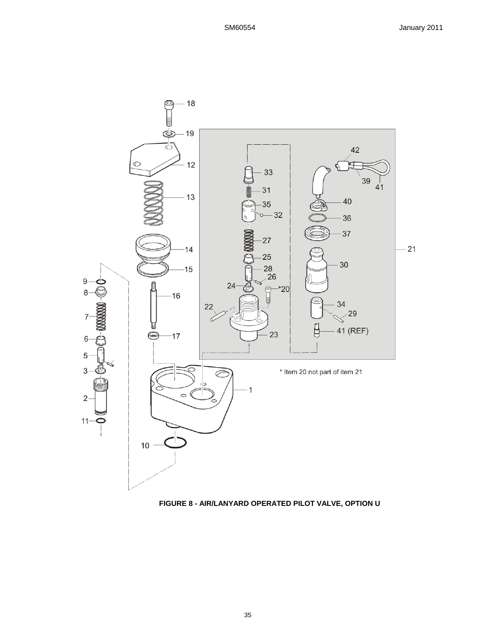

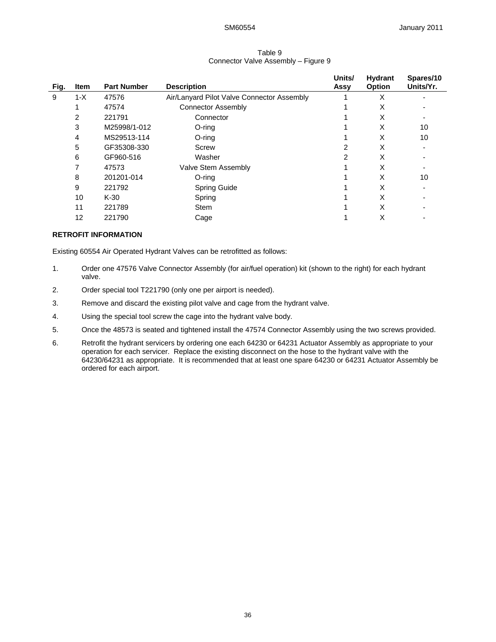### Table 9 Connector Valve Assembly – Figure 9

| Fig. | Item  | <b>Part Number</b> | <b>Description</b>                         | Units/<br>Assy | Hydrant<br><b>Option</b> | Spares/10<br>Units/Yr. |
|------|-------|--------------------|--------------------------------------------|----------------|--------------------------|------------------------|
| 9    | $1-X$ | 47576              | Air/Lanyard Pilot Valve Connector Assembly |                | X                        |                        |
|      |       | 47574              | <b>Connector Assembly</b>                  |                | X                        |                        |
|      | 2     | 221791             | Connector                                  |                | X                        |                        |
|      | 3     | M25998/1-012       | O-ring                                     |                | X                        | 10                     |
|      | 4     | MS29513-114        | O-ring                                     |                | X                        | 10                     |
|      | 5     | GF35308-330        | Screw                                      |                | X                        |                        |
|      | 6     | GF960-516          | Washer                                     | 2              | X                        |                        |
|      |       | 47573              | Valve Stem Assembly                        |                | X                        |                        |
|      | 8     | 201201-014         | O-ring                                     |                | X                        | 10                     |
|      | 9     | 221792             | <b>Spring Guide</b>                        |                | X                        |                        |
|      | 10    | $K-30$             | Spring                                     |                | X                        |                        |
|      | 11    | 221789             | Stem                                       |                | X                        |                        |
|      | 12    | 221790             | Cage                                       |                | X                        |                        |

## **RETROFIT INFORMATION**

Existing 60554 Air Operated Hydrant Valves can be retrofitted as follows:

- 1. Order one 47576 Valve Connector Assembly (for air/fuel operation) kit (shown to the right) for each hydrant valve.
- 2. Order special tool T221790 (only one per airport is needed).
- 3. Remove and discard the existing pilot valve and cage from the hydrant valve.
- 4. Using the special tool screw the cage into the hydrant valve body.
- 5. Once the 48573 is seated and tightened install the 47574 Connector Assembly using the two screws provided.
- 6. Retrofit the hydrant servicers by ordering one each 64230 or 64231 Actuator Assembly as appropriate to your operation for each servicer. Replace the existing disconnect on the hose to the hydrant valve with the 64230/64231 as appropriate. It is recommended that at least one spare 64230 or 64231 Actuator Assembly be ordered for each airport.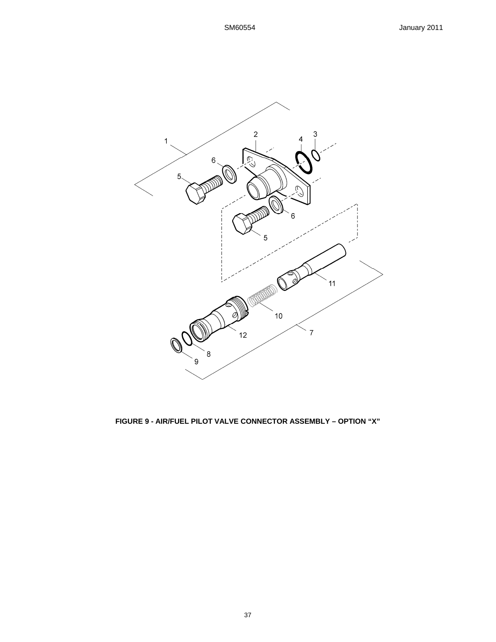

# **FIGURE 9 - AIR/FUEL PILOT VALVE CONNECTOR ASSEMBLY – OPTION "X"**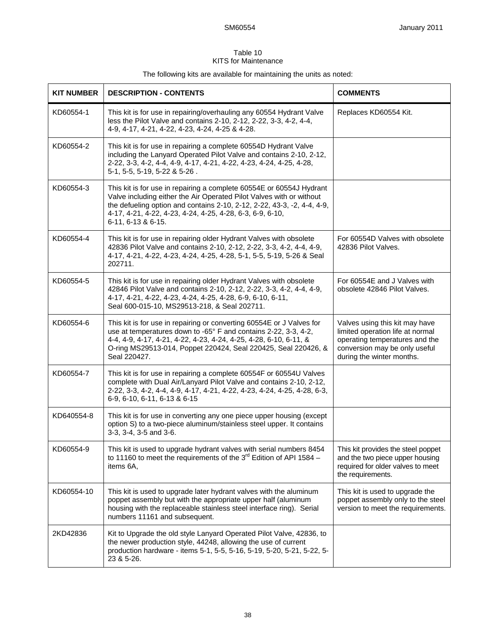## Table 10 KITS for Maintenance

The following kits are available for maintaining the units as noted:

| <b>KIT NUMBER</b> | <b>DESCRIPTION - CONTENTS</b>                                                                                                                                                                                                                                                                                | <b>COMMENTS</b>                                                                                                                                                    |
|-------------------|--------------------------------------------------------------------------------------------------------------------------------------------------------------------------------------------------------------------------------------------------------------------------------------------------------------|--------------------------------------------------------------------------------------------------------------------------------------------------------------------|
| KD60554-1         | This kit is for use in repairing/overhauling any 60554 Hydrant Valve<br>less the Pilot Valve and contains 2-10, 2-12, 2-22, 3-3, 4-2, 4-4,<br>4-9, 4-17, 4-21, 4-22, 4-23, 4-24, 4-25 & 4-28.                                                                                                                | Replaces KD60554 Kit.                                                                                                                                              |
| KD60554-2         | This kit is for use in repairing a complete 60554D Hydrant Valve<br>including the Lanyard Operated Pilot Valve and contains 2-10, 2-12,<br>2-22, 3-3, 4-2, 4-4, 4-9, 4-17, 4-21, 4-22, 4-23, 4-24, 4-25, 4-28,<br>5-1, 5-5, 5-19, 5-22 & 5-26.                                                               |                                                                                                                                                                    |
| KD60554-3         | This kit is for use in repairing a complete 60554E or 60554J Hydrant<br>Valve including either the Air Operated Pilot Valves with or without<br>the defueling option and contains 2-10, 2-12, 2-22, 43-3, -2, 4-4, 4-9,<br>4-17, 4-21, 4-22, 4-23, 4-24, 4-25, 4-28, 6-3, 6-9, 6-10,<br>$6-11, 6-13 & 6-15.$ |                                                                                                                                                                    |
| KD60554-4         | This kit is for use in repairing older Hydrant Valves with obsolete<br>42836 Pilot Valve and contains 2-10, 2-12, 2-22, 3-3, 4-2, 4-4, 4-9,<br>4-17, 4-21, 4-22, 4-23, 4-24, 4-25, 4-28, 5-1, 5-5, 5-19, 5-26 & Seal<br>202711.                                                                              | For 60554D Valves with obsolete<br>42836 Pilot Valves.                                                                                                             |
| KD60554-5         | This kit is for use in repairing older Hydrant Valves with obsolete<br>42846 Pilot Valve and contains 2-10, 2-12, 2-22, 3-3, 4-2, 4-4, 4-9,<br>4-17, 4-21, 4-22, 4-23, 4-24, 4-25, 4-28, 6-9, 6-10, 6-11,<br>Seal 600-015-10, MS29513-218, & Seal 202711.                                                    | For 60554E and J Valves with<br>obsolete 42846 Pilot Valves.                                                                                                       |
| KD60554-6         | This kit is for use in repairing or converting 60554E or J Valves for<br>use at temperatures down to -65° F and contains 2-22, 3-3, 4-2,<br>4-4, 4-9, 4-17, 4-21, 4-22, 4-23, 4-24, 4-25, 4-28, 6-10, 6-11, &<br>O-ring MS29513-014, Poppet 220424, Seal 220425, Seal 220426, &<br>Seal 220427.              | Valves using this kit may have<br>limited operation life at normal<br>operating temperatures and the<br>conversion may be only useful<br>during the winter months. |
| KD60554-7         | This kit is for use in repairing a complete 60554F or 60554U Valves<br>complete with Dual Air/Lanyard Pilot Valve and contains 2-10, 2-12,<br>2-22, 3-3, 4-2, 4-4, 4-9, 4-17, 4-21, 4-22, 4-23, 4-24, 4-25, 4-28, 6-3,<br>6-9, 6-10, 6-11, 6-13 & 6-15                                                       |                                                                                                                                                                    |
| KD640554-8        | This kit is for use in converting any one piece upper housing (except<br>option S) to a two-piece aluminum/stainless steel upper. It contains<br>3-3, 3-4, 3-5 and 3-6.                                                                                                                                      |                                                                                                                                                                    |
| KD60554-9         | This kit is used to upgrade hydrant valves with serial numbers 8454<br>to 11160 to meet the requirements of the $3rd$ Edition of API 1584 –<br>items 6A,                                                                                                                                                     | This kit provides the steel poppet<br>and the two piece upper housing<br>required for older valves to meet<br>the requirements.                                    |
| KD60554-10        | This kit is used to upgrade later hydrant valves with the aluminum<br>poppet assembly but with the appropriate upper half (aluminum<br>housing with the replaceable stainless steel interface ring). Serial<br>numbers 11161 and subsequent.                                                                 | This kit is used to upgrade the<br>poppet assembly only to the steel<br>version to meet the requirements.                                                          |
| 2KD42836          | Kit to Upgrade the old style Lanyard Operated Pilot Valve, 42836, to<br>the newer production style, 44248, allowing the use of current<br>production hardware - items 5-1, 5-5, 5-16, 5-19, 5-20, 5-21, 5-22, 5-<br>23 & 5-26.                                                                               |                                                                                                                                                                    |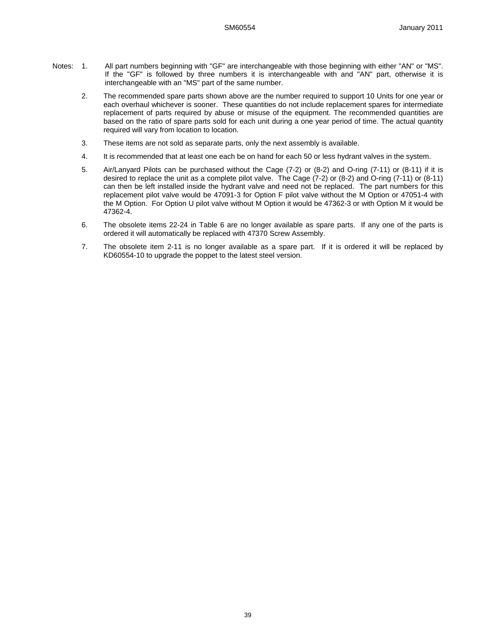- Notes: 1. All part numbers beginning with "GF" are interchangeable with those beginning with either "AN" or "MS". If the "GF" is followed by three numbers it is interchangeable with and "AN" part, otherwise it is interchangeable with an "MS" part of the same number.
	- 2. The recommended spare parts shown above are the number required to support 10 Units for one year or each overhaul whichever is sooner. These quantities do not include replacement spares for intermediate replacement of parts required by abuse or misuse of the equipment. The recommended quantities are based on the ratio of spare parts sold for each unit during a one year period of time. The actual quantity required will vary from location to location.
	- 3. These items are not sold as separate parts, only the next assembly is available.
	- 4. It is recommended that at least one each be on hand for each 50 or less hydrant valves in the system.
	- 5. Air/Lanyard Pilots can be purchased without the Cage (7-2) or (8-2) and O-ring (7-11) or (8-11) if it is desired to replace the unit as a complete pilot valve. The Cage (7-2) or (8-2) and O-ring (7-11) or (8-11) can then be left installed inside the hydrant valve and need not be replaced. The part numbers for this replacement pilot valve would be 47091-3 for Option F pilot valve without the M Option or 47051-4 with the M Option. For Option U pilot valve without M Option it would be 47362-3 or with Option M it would be 47362-4.
	- 6. The obsolete items 22-24 in Table 6 are no longer available as spare parts. If any one of the parts is ordered it will automatically be replaced with 47370 Screw Assembly.
	- 7. The obsolete item 2-11 is no longer available as a spare part. If it is ordered it will be replaced by KD60554-10 to upgrade the poppet to the latest steel version.